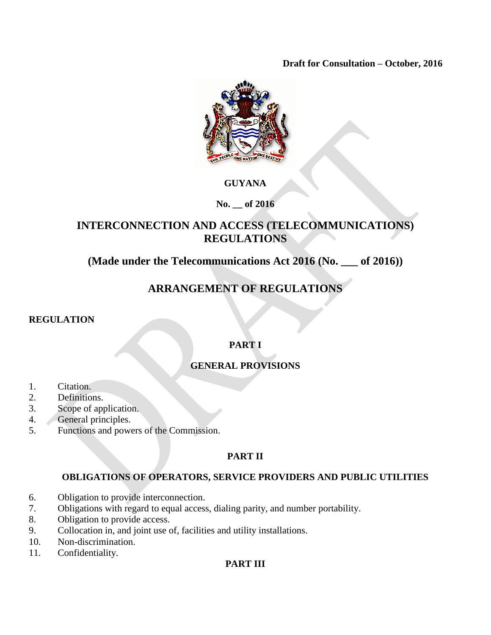**Draft for Consultation – October, 2016**



## **GUYANA**

**No. \_\_ of 2016**

# **INTERCONNECTION AND ACCESS (TELECOMMUNICATIONS) REGULATIONS**

**(Made under the Telecommunications Act 2016 (No. \_\_\_ of 2016))**

# **ARRANGEMENT OF REGULATIONS**

## **REGULATION**

# **PART I**

# **GENERAL PROVISIONS**

- 1. Citation.
- 2. Definitions.
- 3. Scope of application.
- 4. General principles.
- 5. Functions and powers of the Commission.

## **PART II**

## **OBLIGATIONS OF OPERATORS, SERVICE PROVIDERS AND PUBLIC UTILITIES**

- 6. Obligation to provide interconnection.
- 7. Obligations with regard to equal access, dialing parity, and number portability.
- 8. Obligation to provide access.
- 9. Collocation in, and joint use of, facilities and utility installations.
- 10. Non-discrimination.
- 11. Confidentiality.

## **PART III**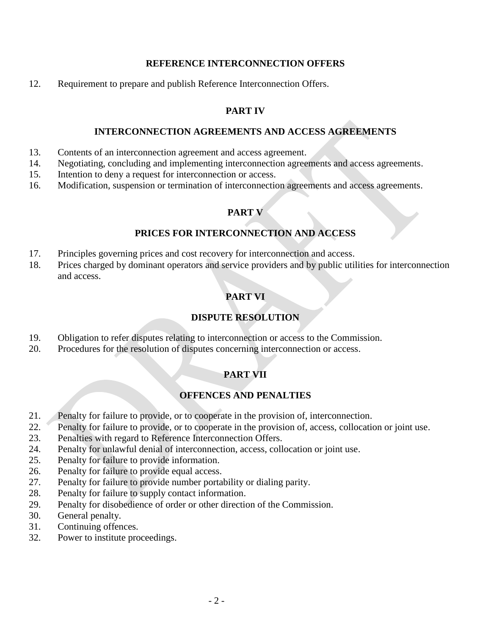#### **REFERENCE INTERCONNECTION OFFERS**

12. Requirement to prepare and publish Reference Interconnection Offers.

## **PART IV**

#### **INTERCONNECTION AGREEMENTS AND ACCESS AGREEMENTS**

- 13. Contents of an interconnection agreement and access agreement.
- 14. Negotiating, concluding and implementing interconnection agreements and access agreements.
- 15. Intention to deny a request for interconnection or access.
- 16. Modification, suspension or termination of interconnection agreements and access agreements.

## **PART V**

## **PRICES FOR INTERCONNECTION AND ACCESS**

- 17. Principles governing prices and cost recovery for interconnection and access.
- 18. Prices charged by dominant operators and service providers and by public utilities for interconnection and access.

# **PART VI**

## **DISPUTE RESOLUTION**

- 19. Obligation to refer disputes relating to interconnection or access to the Commission.
- 20. Procedures for the resolution of disputes concerning interconnection or access.

## **PART VII**

## **OFFENCES AND PENALTIES**

- 21. Penalty for failure to provide, or to cooperate in the provision of, interconnection.
- 22. Penalty for failure to provide, or to cooperate in the provision of, access, collocation or joint use.
- 23. Penalties with regard to Reference Interconnection Offers.
- 24. Penalty for unlawful denial of interconnection, access, collocation or joint use.
- 25. Penalty for failure to provide information.
- 26. Penalty for failure to provide equal access.
- 27. Penalty for failure to provide number portability or dialing parity.
- 28. Penalty for failure to supply contact information.
- 29. Penalty for disobedience of order or other direction of the Commission.
- 30. General penalty.
- 31. Continuing offences.
- 32. Power to institute proceedings.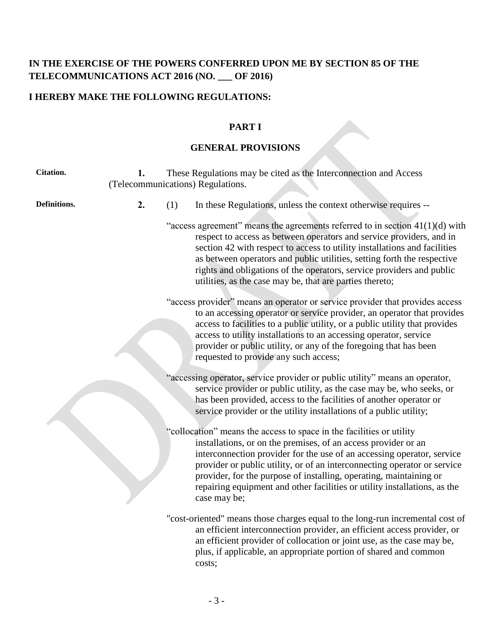# **IN THE EXERCISE OF THE POWERS CONFERRED UPON ME BY SECTION 85 OF THE TELECOMMUNICATIONS ACT 2016 (NO. \_\_\_ OF 2016)**

# **I HEREBY MAKE THE FOLLOWING REGULATIONS:**

#### **PART I**

## **GENERAL PROVISIONS**

| <b>Citation.</b> | 1. | These Regulations may be cited as the Interconnection and Access<br>(Telecommunications) Regulations. |                                                                                                                                                                                                                                                                                                                                                                                                                                                                 |  |  |
|------------------|----|-------------------------------------------------------------------------------------------------------|-----------------------------------------------------------------------------------------------------------------------------------------------------------------------------------------------------------------------------------------------------------------------------------------------------------------------------------------------------------------------------------------------------------------------------------------------------------------|--|--|
| Definitions.     | 2. | (1)                                                                                                   | In these Regulations, unless the context otherwise requires --                                                                                                                                                                                                                                                                                                                                                                                                  |  |  |
|                  |    |                                                                                                       | "access agreement" means the agreements referred to in section $41(1)(d)$ with<br>respect to access as between operators and service providers, and in<br>section 42 with respect to access to utility installations and facilities<br>as between operators and public utilities, setting forth the respective<br>rights and obligations of the operators, service providers and public<br>utilities, as the case may be, that are parties thereto;             |  |  |
|                  |    |                                                                                                       | "access provider" means an operator or service provider that provides access<br>to an accessing operator or service provider, an operator that provides<br>access to facilities to a public utility, or a public utility that provides<br>access to utility installations to an accessing operator, service<br>provider or public utility, or any of the foregoing that has been<br>requested to provide any such access;                                       |  |  |
|                  |    |                                                                                                       | "accessing operator, service provider or public utility" means an operator,<br>service provider or public utility, as the case may be, who seeks, or<br>has been provided, access to the facilities of another operator or<br>service provider or the utility installations of a public utility;                                                                                                                                                                |  |  |
|                  |    |                                                                                                       | "collocation" means the access to space in the facilities or utility<br>installations, or on the premises, of an access provider or an<br>interconnection provider for the use of an accessing operator, service<br>provider or public utility, or of an interconnecting operator or service<br>provider, for the purpose of installing, operating, maintaining or<br>repairing equipment and other facilities or utility installations, as the<br>case may be; |  |  |
|                  |    |                                                                                                       | "cost-oriented" means those charges equal to the long-run incremental cost of<br>an efficient interconnection provider, an efficient access provider, or<br>an efficient provider of collocation or joint use, as the case may be,<br>plus, if applicable, an appropriate portion of shared and common<br>costs;                                                                                                                                                |  |  |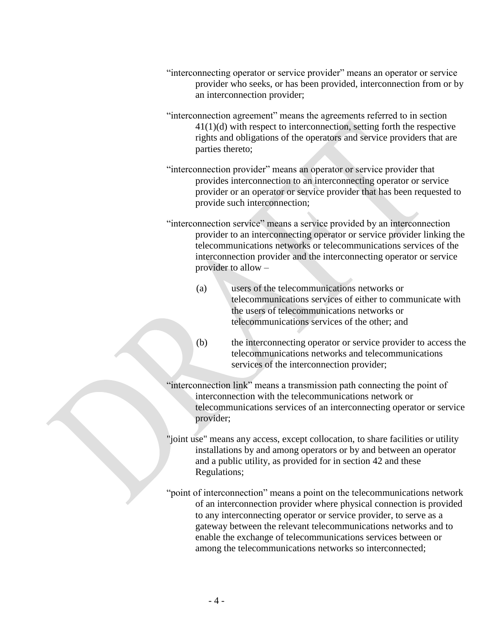- "interconnecting operator or service provider" means an operator or service provider who seeks, or has been provided, interconnection from or by an interconnection provider;
- "interconnection agreement" means the agreements referred to in section 41(1)(d) with respect to interconnection, setting forth the respective rights and obligations of the operators and service providers that are parties thereto;
- "interconnection provider" means an operator or service provider that provides interconnection to an interconnecting operator or service provider or an operator or service provider that has been requested to provide such interconnection;
- "interconnection service" means a service provided by an interconnection provider to an interconnecting operator or service provider linking the telecommunications networks or telecommunications services of the interconnection provider and the interconnecting operator or service provider to allow –
	- (a) users of the telecommunications networks or telecommunications services of either to communicate with the users of telecommunications networks or telecommunications services of the other; and
	- (b) the interconnecting operator or service provider to access the telecommunications networks and telecommunications services of the interconnection provider;
- "interconnection link" means a transmission path connecting the point of interconnection with the telecommunications network or telecommunications services of an interconnecting operator or service provider;
- "joint use" means any access, except collocation, to share facilities or utility installations by and among operators or by and between an operator and a public utility, as provided for in section 42 and these Regulations;
- "point of interconnection" means a point on the telecommunications network of an interconnection provider where physical connection is provided to any interconnecting operator or service provider, to serve as a gateway between the relevant telecommunications networks and to enable the exchange of telecommunications services between or among the telecommunications networks so interconnected;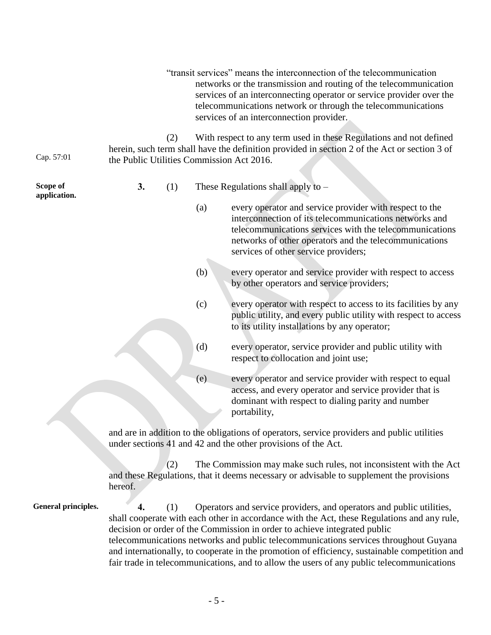|                            |                                           |     |     | "transit services" means the interconnection of the telecommunication<br>networks or the transmission and routing of the telecommunication<br>services of an interconnecting operator or service provider over the<br>telecommunications network or through the telecommunications<br>services of an interconnection provider.                                                                                                                                                                                                         |
|----------------------------|-------------------------------------------|-----|-----|----------------------------------------------------------------------------------------------------------------------------------------------------------------------------------------------------------------------------------------------------------------------------------------------------------------------------------------------------------------------------------------------------------------------------------------------------------------------------------------------------------------------------------------|
| Cap. 57:01                 | the Public Utilities Commission Act 2016. | (2) |     | With respect to any term used in these Regulations and not defined<br>herein, such term shall have the definition provided in section 2 of the Act or section 3 of                                                                                                                                                                                                                                                                                                                                                                     |
| Scope of<br>application.   | 3.                                        | (1) |     | These Regulations shall apply to -                                                                                                                                                                                                                                                                                                                                                                                                                                                                                                     |
|                            |                                           |     | (a) | every operator and service provider with respect to the<br>interconnection of its telecommunications networks and<br>telecommunications services with the telecommunications<br>networks of other operators and the telecommunications<br>services of other service providers;                                                                                                                                                                                                                                                         |
|                            |                                           |     | (b) | every operator and service provider with respect to access<br>by other operators and service providers;                                                                                                                                                                                                                                                                                                                                                                                                                                |
|                            |                                           |     | (c) | every operator with respect to access to its facilities by any<br>public utility, and every public utility with respect to access<br>to its utility installations by any operator;                                                                                                                                                                                                                                                                                                                                                     |
|                            |                                           |     | (d) | every operator, service provider and public utility with<br>respect to collocation and joint use;                                                                                                                                                                                                                                                                                                                                                                                                                                      |
|                            |                                           |     | (e) | every operator and service provider with respect to equal<br>access, and every operator and service provider that is<br>dominant with respect to dialing parity and number<br>portability,                                                                                                                                                                                                                                                                                                                                             |
|                            |                                           |     |     | and are in addition to the obligations of operators, service providers and public utilities<br>under sections 41 and 42 and the other provisions of the Act.                                                                                                                                                                                                                                                                                                                                                                           |
|                            | hereof.                                   | (2) |     | The Commission may make such rules, not inconsistent with the Act<br>and these Regulations, that it deems necessary or advisable to supplement the provisions                                                                                                                                                                                                                                                                                                                                                                          |
| <b>General principles.</b> | 4.                                        | (1) |     | Operators and service providers, and operators and public utilities,<br>shall cooperate with each other in accordance with the Act, these Regulations and any rule,<br>decision or order of the Commission in order to achieve integrated public<br>telecommunications networks and public telecommunications services throughout Guyana<br>and internationally, to cooperate in the promotion of efficiency, sustainable competition and<br>fair trade in telecommunications, and to allow the users of any public telecommunications |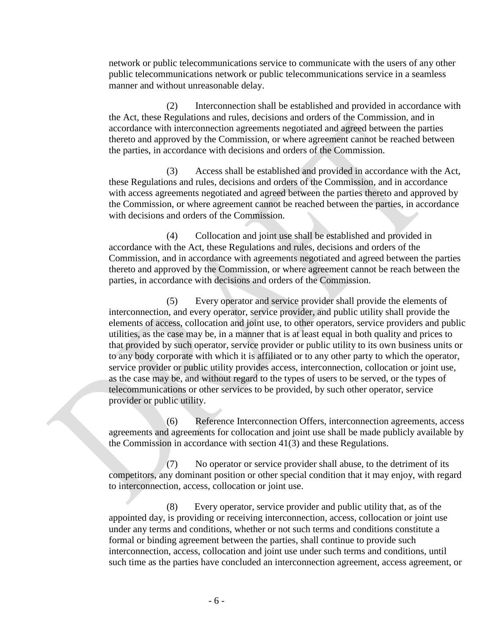network or public telecommunications service to communicate with the users of any other public telecommunications network or public telecommunications service in a seamless manner and without unreasonable delay.

(2) Interconnection shall be established and provided in accordance with the Act, these Regulations and rules, decisions and orders of the Commission, and in accordance with interconnection agreements negotiated and agreed between the parties thereto and approved by the Commission, or where agreement cannot be reached between the parties, in accordance with decisions and orders of the Commission.

(3) Access shall be established and provided in accordance with the Act, these Regulations and rules, decisions and orders of the Commission, and in accordance with access agreements negotiated and agreed between the parties thereto and approved by the Commission, or where agreement cannot be reached between the parties, in accordance with decisions and orders of the Commission.

(4) Collocation and joint use shall be established and provided in accordance with the Act, these Regulations and rules, decisions and orders of the Commission, and in accordance with agreements negotiated and agreed between the parties thereto and approved by the Commission, or where agreement cannot be reach between the parties, in accordance with decisions and orders of the Commission.

(5) Every operator and service provider shall provide the elements of interconnection, and every operator, service provider, and public utility shall provide the elements of access, collocation and joint use, to other operators, service providers and public utilities, as the case may be, in a manner that is at least equal in both quality and prices to that provided by such operator, service provider or public utility to its own business units or to any body corporate with which it is affiliated or to any other party to which the operator, service provider or public utility provides access, interconnection, collocation or joint use, as the case may be, and without regard to the types of users to be served, or the types of telecommunications or other services to be provided, by such other operator, service provider or public utility.

(6) Reference Interconnection Offers, interconnection agreements, access agreements and agreements for collocation and joint use shall be made publicly available by the Commission in accordance with section 41(3) and these Regulations.

(7) No operator or service provider shall abuse, to the detriment of its competitors, any dominant position or other special condition that it may enjoy, with regard to interconnection, access, collocation or joint use.

(8) Every operator, service provider and public utility that, as of the appointed day, is providing or receiving interconnection, access, collocation or joint use under any terms and conditions, whether or not such terms and conditions constitute a formal or binding agreement between the parties, shall continue to provide such interconnection, access, collocation and joint use under such terms and conditions, until such time as the parties have concluded an interconnection agreement, access agreement, or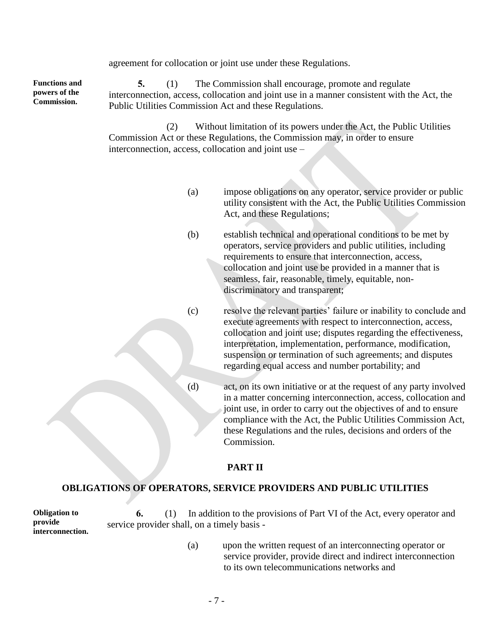agreement for collocation or joint use under these Regulations.

**Functions and powers of the Commission.**

**5.** (1) The Commission shall encourage, promote and regulate interconnection, access, collocation and joint use in a manner consistent with the Act, the Public Utilities Commission Act and these Regulations.

(2) Without limitation of its powers under the Act, the Public Utilities Commission Act or these Regulations, the Commission may, in order to ensure interconnection, access, collocation and joint use –

- (a) impose obligations on any operator, service provider or public utility consistent with the Act, the Public Utilities Commission Act, and these Regulations;
- (b) establish technical and operational conditions to be met by operators, service providers and public utilities, including requirements to ensure that interconnection, access, collocation and joint use be provided in a manner that is seamless, fair, reasonable, timely, equitable, nondiscriminatory and transparent;
- (c) resolve the relevant parties' failure or inability to conclude and execute agreements with respect to interconnection, access, collocation and joint use; disputes regarding the effectiveness, interpretation, implementation, performance, modification, suspension or termination of such agreements; and disputes regarding equal access and number portability; and
- (d) act, on its own initiative or at the request of any party involved in a matter concerning interconnection, access, collocation and joint use, in order to carry out the objectives of and to ensure compliance with the Act, the Public Utilities Commission Act, these Regulations and the rules, decisions and orders of the Commission.

## **PART II**

#### **OBLIGATIONS OF OPERATORS, SERVICE PROVIDERS AND PUBLIC UTILITIES**

**Obligation to provide interconnection. 6.** (1) In addition to the provisions of Part VI of the Act, every operator and service provider shall, on a timely basis -

> (a) upon the written request of an interconnecting operator or service provider, provide direct and indirect interconnection to its own telecommunications networks and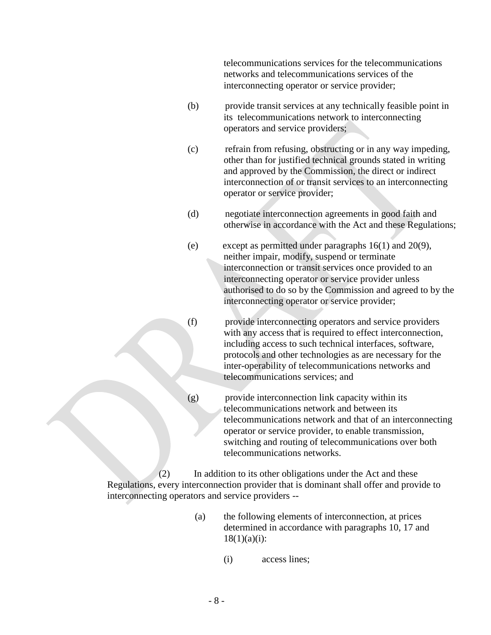telecommunications services for the telecommunications networks and telecommunications services of the interconnecting operator or service provider;

- (b) provide transit services at any technically feasible point in its telecommunications network to interconnecting operators and service providers;
- (c) refrain from refusing, obstructing or in any way impeding, other than for justified technical grounds stated in writing and approved by the Commission, the direct or indirect interconnection of or transit services to an interconnecting operator or service provider;
- (d) negotiate interconnection agreements in good faith and otherwise in accordance with the Act and these Regulations;
- (e) except as permitted under paragraphs 16(1) and 20(9), neither impair, modify, suspend or terminate interconnection or transit services once provided to an interconnecting operator or service provider unless authorised to do so by the Commission and agreed to by the interconnecting operator or service provider;
- (f) provide interconnecting operators and service providers with any access that is required to effect interconnection, including access to such technical interfaces, software, protocols and other technologies as are necessary for the inter-operability of telecommunications networks and telecommunications services; and
- (g) provide interconnection link capacity within its telecommunications network and between its telecommunications network and that of an interconnecting operator or service provider, to enable transmission, switching and routing of telecommunications over both telecommunications networks.

(2) In addition to its other obligations under the Act and these Regulations, every interconnection provider that is dominant shall offer and provide to interconnecting operators and service providers --

- (a) the following elements of interconnection, at prices determined in accordance with paragraphs 10, 17 and  $18(1)(a)(i)$ :
	- (i) access lines;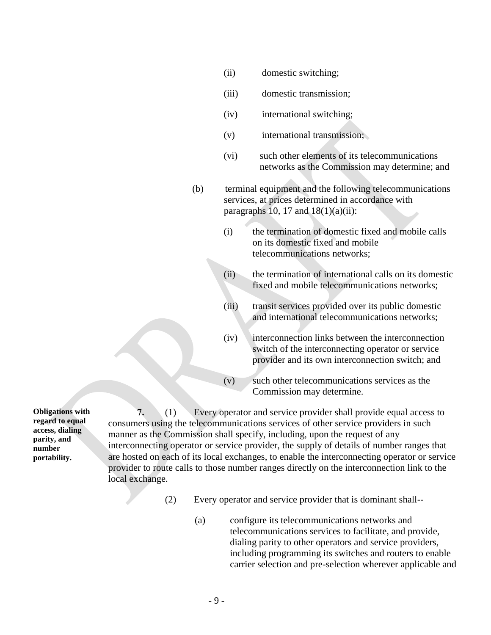- (ii) domestic switching;
- (iii) domestic transmission;
- (iv) international switching;
- (v) international transmission;
- (vi) such other elements of its telecommunications networks as the Commission may determine; and
- (b) terminal equipment and the following telecommunications services, at prices determined in accordance with paragraphs 10, 17 and  $18(1)(a)(ii)$ :
	- (i) the termination of domestic fixed and mobile calls on its domestic fixed and mobile telecommunications networks;
	- (ii) the termination of international calls on its domestic fixed and mobile telecommunications networks;
	- (iii) transit services provided over its public domestic and international telecommunications networks;
	- (iv) interconnection links between the interconnection switch of the interconnecting operator or service provider and its own interconnection switch; and
	- (v) such other telecommunications services as the Commission may determine.

**7.** (1) Every operator and service provider shall provide equal access to consumers using the telecommunications services of other service providers in such manner as the Commission shall specify, including, upon the request of any interconnecting operator or service provider, the supply of details of number ranges that are hosted on each of its local exchanges, to enable the interconnecting operator or service provider to route calls to those number ranges directly on the interconnection link to the local exchange.

- (2) Every operator and service provider that is dominant shall--
	- (a) configure its telecommunications networks and telecommunications services to facilitate, and provide, dialing parity to other operators and service providers, including programming its switches and routers to enable carrier selection and pre-selection wherever applicable and

**Obligations with regard to equal access, dialing parity, and number portability.**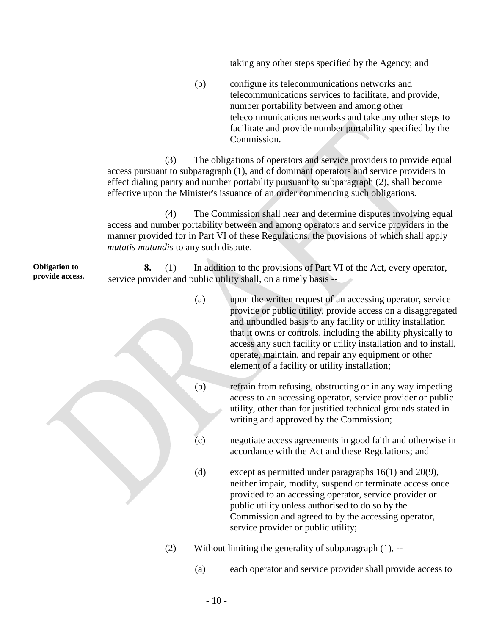taking any other steps specified by the Agency; and

(b) configure its telecommunications networks and telecommunications services to facilitate, and provide, number portability between and among other telecommunications networks and take any other steps to facilitate and provide number portability specified by the Commission.

(3) The obligations of operators and service providers to provide equal access pursuant to subparagraph (1), and of dominant operators and service providers to effect dialing parity and number portability pursuant to subparagraph (2), shall become effective upon the Minister's issuance of an order commencing such obligations.

(4) The Commission shall hear and determine disputes involving equal access and number portability between and among operators and service providers in the manner provided for in Part VI of these Regulations, the provisions of which shall apply *mutatis mutandis* to any such dispute.

**Obligation to provide access. 8.** (1) In addition to the provisions of Part VI of the Act, every operator, service provider and public utility shall, on a timely basis --

|     | (a) | upon the written request of an accessing operator, service<br>provide or public utility, provide access on a disaggregated<br>and unbundled basis to any facility or utility installation<br>that it owns or controls, including the ability physically to<br>access any such facility or utility installation and to install,<br>operate, maintain, and repair any equipment or other<br>element of a facility or utility installation; |
|-----|-----|------------------------------------------------------------------------------------------------------------------------------------------------------------------------------------------------------------------------------------------------------------------------------------------------------------------------------------------------------------------------------------------------------------------------------------------|
|     | (b) | refrain from refusing, obstructing or in any way impeding<br>access to an accessing operator, service provider or public<br>utility, other than for justified technical grounds stated in<br>writing and approved by the Commission;                                                                                                                                                                                                     |
|     | (c) | negotiate access agreements in good faith and otherwise in<br>accordance with the Act and these Regulations; and                                                                                                                                                                                                                                                                                                                         |
|     | (d) | except as permitted under paragraphs $16(1)$ and $20(9)$ ,<br>neither impair, modify, suspend or terminate access once<br>provided to an accessing operator, service provider or<br>public utility unless authorised to do so by the<br>Commission and agreed to by the accessing operator,<br>service provider or public utility;                                                                                                       |
| (2) |     | Without limiting the generality of subparagraph $(1)$ , $-$                                                                                                                                                                                                                                                                                                                                                                              |
|     | (a) | each operator and service provider shall provide access to                                                                                                                                                                                                                                                                                                                                                                               |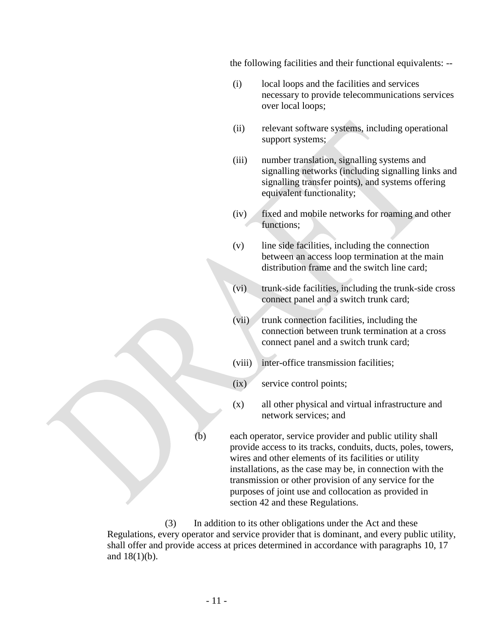the following facilities and their functional equivalents: --

- (i) local loops and the facilities and services necessary to provide telecommunications services over local loops;
- (ii) relevant software systems, including operational support systems;
- (iii) number translation, signalling systems and signalling networks (including signalling links and signalling transfer points), and systems offering equivalent functionality;
- (iv) fixed and mobile networks for roaming and other functions;
- (v) line side facilities, including the connection between an access loop termination at the main distribution frame and the switch line card;
- (vi) trunk-side facilities, including the trunk-side cross connect panel and a switch trunk card;
- (vii) trunk connection facilities, including the connection between trunk termination at a cross connect panel and a switch trunk card;
- (viii) inter-office transmission facilities;
- (ix) service control points;
- (x) all other physical and virtual infrastructure and network services; and

(b) each operator, service provider and public utility shall provide access to its tracks, conduits, ducts, poles, towers, wires and other elements of its facilities or utility installations, as the case may be, in connection with the transmission or other provision of any service for the purposes of joint use and collocation as provided in section 42 and these Regulations.

(3) In addition to its other obligations under the Act and these Regulations, every operator and service provider that is dominant, and every public utility, shall offer and provide access at prices determined in accordance with paragraphs 10, 17 and 18(1)(b).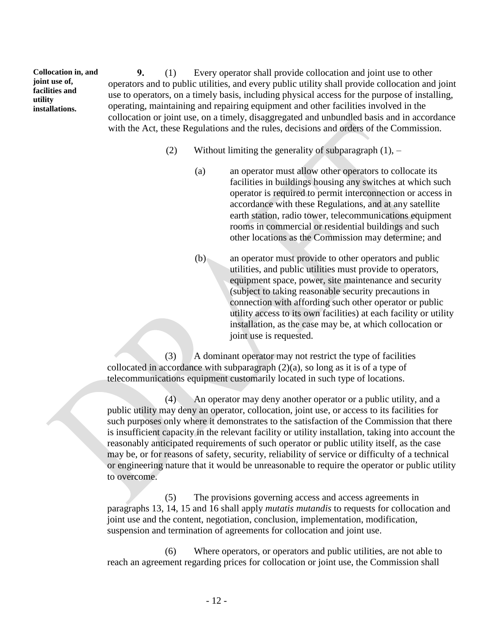**Collocation in, and joint use of, facilities and utility installations.**

**9.** (1) Every operator shall provide collocation and joint use to other operators and to public utilities, and every public utility shall provide collocation and joint use to operators, on a timely basis, including physical access for the purpose of installing, operating, maintaining and repairing equipment and other facilities involved in the collocation or joint use, on a timely, disaggregated and unbundled basis and in accordance with the Act, these Regulations and the rules, decisions and orders of the Commission.

- (2) Without limiting the generality of subparagraph  $(1)$ ,  $-$ 
	- (a) an operator must allow other operators to collocate its facilities in buildings housing any switches at which such operator is required to permit interconnection or access in accordance with these Regulations, and at any satellite earth station, radio tower, telecommunications equipment rooms in commercial or residential buildings and such other locations as the Commission may determine; and
	- (b) an operator must provide to other operators and public utilities, and public utilities must provide to operators, equipment space, power, site maintenance and security (subject to taking reasonable security precautions in connection with affording such other operator or public utility access to its own facilities) at each facility or utility installation, as the case may be, at which collocation or joint use is requested.

(3) A dominant operator may not restrict the type of facilities collocated in accordance with subparagraph  $(2)(a)$ , so long as it is of a type of telecommunications equipment customarily located in such type of locations.

(4) An operator may deny another operator or a public utility, and a public utility may deny an operator, collocation, joint use, or access to its facilities for such purposes only where it demonstrates to the satisfaction of the Commission that there is insufficient capacity in the relevant facility or utility installation, taking into account the reasonably anticipated requirements of such operator or public utility itself, as the case may be, or for reasons of safety, security, reliability of service or difficulty of a technical or engineering nature that it would be unreasonable to require the operator or public utility to overcome.

(5) The provisions governing access and access agreements in paragraphs 13, 14, 15 and 16 shall apply *mutatis mutandis* to requests for collocation and joint use and the content, negotiation, conclusion, implementation, modification, suspension and termination of agreements for collocation and joint use.

(6) Where operators, or operators and public utilities, are not able to reach an agreement regarding prices for collocation or joint use, the Commission shall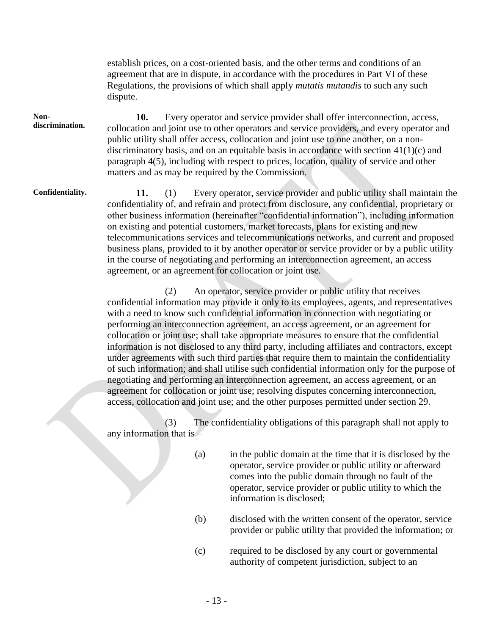establish prices, on a cost-oriented basis, and the other terms and conditions of an agreement that are in dispute, in accordance with the procedures in Part VI of these Regulations, the provisions of which shall apply *mutatis mutandis* to such any such dispute.

#### **Nondiscrimination.**

**10.** Every operator and service provider shall offer interconnection, access, collocation and joint use to other operators and service providers, and every operator and public utility shall offer access, collocation and joint use to one another, on a nondiscriminatory basis, and on an equitable basis in accordance with section 41(1)(c) and paragraph 4(5), including with respect to prices, location, quality of service and other matters and as may be required by the Commission.

**Confidentiality. 11.** (1) Every operator, service provider and public utility shall maintain the confidentiality of, and refrain and protect from disclosure, any confidential, proprietary or other business information (hereinafter "confidential information"), including information on existing and potential customers, market forecasts, plans for existing and new telecommunications services and telecommunications networks, and current and proposed business plans, provided to it by another operator or service provider or by a public utility in the course of negotiating and performing an interconnection agreement, an access agreement, or an agreement for collocation or joint use.

> (2) An operator, service provider or public utility that receives confidential information may provide it only to its employees, agents, and representatives with a need to know such confidential information in connection with negotiating or performing an interconnection agreement, an access agreement, or an agreement for collocation or joint use; shall take appropriate measures to ensure that the confidential information is not disclosed to any third party, including affiliates and contractors, except under agreements with such third parties that require them to maintain the confidentiality of such information; and shall utilise such confidential information only for the purpose of negotiating and performing an interconnection agreement, an access agreement, or an agreement for collocation or joint use; resolving disputes concerning interconnection, access, collocation and joint use; and the other purposes permitted under section 29.

(3) The confidentiality obligations of this paragraph shall not apply to any information that is –

- (a) in the public domain at the time that it is disclosed by the operator, service provider or public utility or afterward comes into the public domain through no fault of the operator, service provider or public utility to which the information is disclosed;
- (b) disclosed with the written consent of the operator, service provider or public utility that provided the information; or
- (c) required to be disclosed by any court or governmental authority of competent jurisdiction, subject to an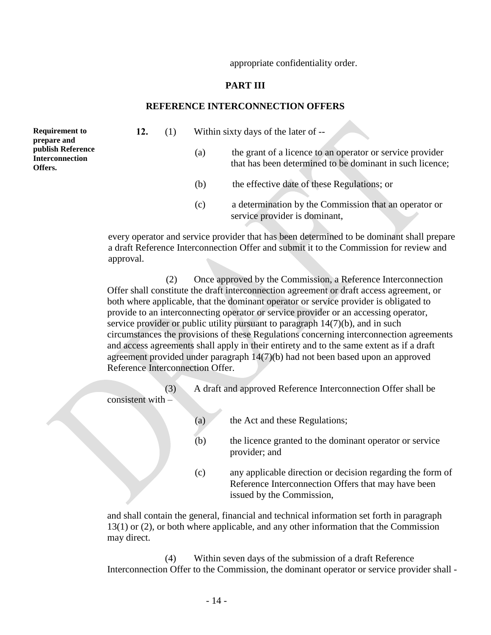appropriate confidentiality order.

#### **PART III**

#### **REFERENCE INTERCONNECTION OFFERS**

**Requirement to prepare and publish Reference Interconnection Offers.**

- **12.** (1) Within sixty days of the later of --
	- (a) the grant of a licence to an operator or service provider that has been determined to be dominant in such licence;
	- (b) the effective date of these Regulations; or
	- (c) a determination by the Commission that an operator or service provider is dominant,

every operator and service provider that has been determined to be dominant shall prepare a draft Reference Interconnection Offer and submit it to the Commission for review and approval.

(2) Once approved by the Commission, a Reference Interconnection Offer shall constitute the draft interconnection agreement or draft access agreement, or both where applicable, that the dominant operator or service provider is obligated to provide to an interconnecting operator or service provider or an accessing operator, service provider or public utility pursuant to paragraph 14(7)(b), and in such circumstances the provisions of these Regulations concerning interconnection agreements and access agreements shall apply in their entirety and to the same extent as if a draft agreement provided under paragraph 14(7)(b) had not been based upon an approved Reference Interconnection Offer.

(3) A draft and approved Reference Interconnection Offer shall be consistent with –

- (a) the Act and these Regulations;
- (b) the licence granted to the dominant operator or service provider; and
- (c) any applicable direction or decision regarding the form of Reference Interconnection Offers that may have been issued by the Commission,

and shall contain the general, financial and technical information set forth in paragraph 13(1) or (2), or both where applicable, and any other information that the Commission may direct.

(4) Within seven days of the submission of a draft Reference Interconnection Offer to the Commission, the dominant operator or service provider shall -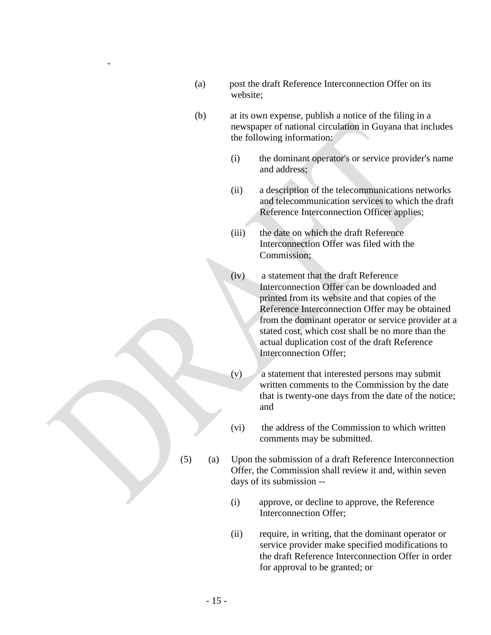(a) post the draft Reference Interconnection Offer on its website;

-

- (b) at its own expense, publish a notice of the filing in a newspaper of national circulation in Guyana that includes the following information:
	- (i) the dominant operator's or service provider's name and address;
	- (ii) a description of the telecommunications networks and telecommunication services to which the draft Reference Interconnection Officer applies;
	- (iii) the date on which the draft Reference Interconnection Offer was filed with the Commission;
	- (iv) a statement that the draft Reference Interconnection Offer can be downloaded and printed from its website and that copies of the Reference Interconnection Offer may be obtained from the dominant operator or service provider at a stated cost, which cost shall be no more than the actual duplication cost of the draft Reference Interconnection Offer;
	- $(v)$  a statement that interested persons may submit written comments to the Commission by the date that is twenty-one days from the date of the notice; and
	- (vi) the address of the Commission to which written comments may be submitted.
- (5) (a) Upon the submission of a draft Reference Interconnection Offer, the Commission shall review it and, within seven days of its submission --
	- (i) approve, or decline to approve, the Reference Interconnection Offer;
	- (ii) require, in writing, that the dominant operator or service provider make specified modifications to the draft Reference Interconnection Offer in order for approval to be granted; or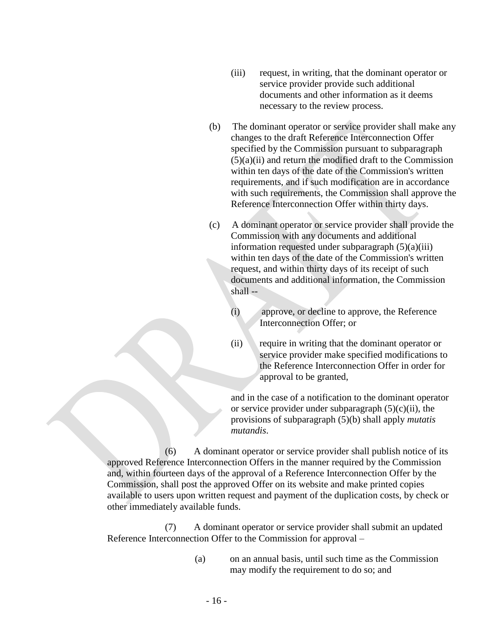- (iii) request, in writing, that the dominant operator or service provider provide such additional documents and other information as it deems necessary to the review process.
- (b) The dominant operator or service provider shall make any changes to the draft Reference Interconnection Offer specified by the Commission pursuant to subparagraph  $(5)(a)(ii)$  and return the modified draft to the Commission within ten days of the date of the Commission's written requirements, and if such modification are in accordance with such requirements, the Commission shall approve the Reference Interconnection Offer within thirty days.
- (c) A dominant operator or service provider shall provide the Commission with any documents and additional information requested under subparagraph  $(5)(a)(iii)$ within ten days of the date of the Commission's written request, and within thirty days of its receipt of such documents and additional information, the Commission shall --
	- (i) approve, or decline to approve, the Reference Interconnection Offer; or
	- (ii) require in writing that the dominant operator or service provider make specified modifications to the Reference Interconnection Offer in order for approval to be granted,

and in the case of a notification to the dominant operator or service provider under subparagraph  $(5)(c)(ii)$ , the provisions of subparagraph (5)(b) shall apply *mutatis mutandis*.

(6) A dominant operator or service provider shall publish notice of its approved Reference Interconnection Offers in the manner required by the Commission and, within fourteen days of the approval of a Reference Interconnection Offer by the Commission, shall post the approved Offer on its website and make printed copies available to users upon written request and payment of the duplication costs, by check or other immediately available funds.

(7) A dominant operator or service provider shall submit an updated Reference Interconnection Offer to the Commission for approval –

> (a) on an annual basis, until such time as the Commission may modify the requirement to do so; and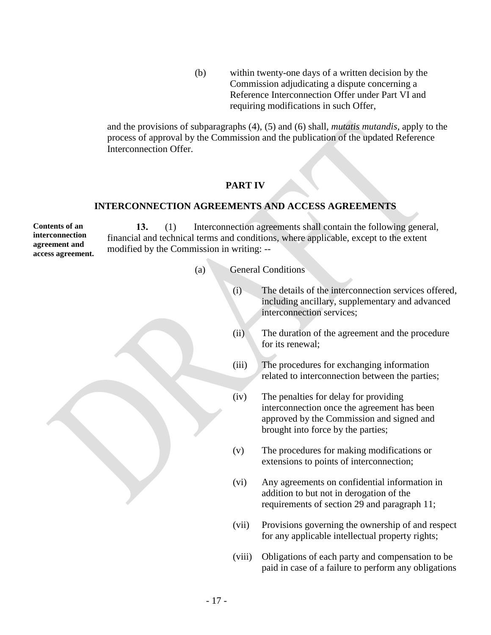(b) within twenty-one days of a written decision by the Commission adjudicating a dispute concerning a Reference Interconnection Offer under Part VI and requiring modifications in such Offer,

and the provisions of subparagraphs (4), (5) and (6) shall, *mutatis mutandis*, apply to the process of approval by the Commission and the publication of the updated Reference Interconnection Offer.

## **PART IV**

#### **INTERCONNECTION AGREEMENTS AND ACCESS AGREEMENTS**

**Contents of an interconnection agreement and access agreement. 13.** (1) Interconnection agreements shall contain the following general, financial and technical terms and conditions, where applicable, except to the extent modified by the Commission in writing: --

- (a) General Conditions
	- (i) The details of the interconnection services offered, including ancillary, supplementary and advanced interconnection services;
	- (ii) The duration of the agreement and the procedure for its renewal;
	- (iii) The procedures for exchanging information related to interconnection between the parties;
	- (iv) The penalties for delay for providing interconnection once the agreement has been approved by the Commission and signed and brought into force by the parties;
	- (v) The procedures for making modifications or extensions to points of interconnection;
	- (vi) Any agreements on confidential information in addition to but not in derogation of the requirements of section 29 and paragraph 11;
	- (vii) Provisions governing the ownership of and respect for any applicable intellectual property rights;
	- (viii) Obligations of each party and compensation to be paid in case of a failure to perform any obligations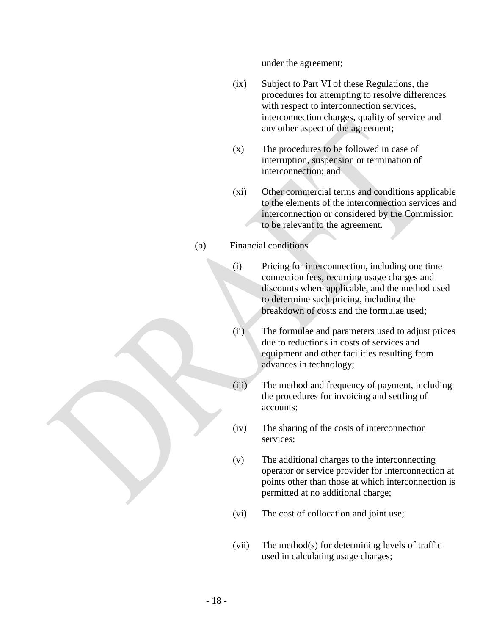under the agreement;

- (ix) Subject to Part VI of these Regulations, the procedures for attempting to resolve differences with respect to interconnection services, interconnection charges, quality of service and any other aspect of the agreement;
- (x) The procedures to be followed in case of interruption, suspension or termination of interconnection; and
- (xi) Other commercial terms and conditions applicable to the elements of the interconnection services and interconnection or considered by the Commission to be relevant to the agreement.

#### (b) Financial conditions

- (i) Pricing for interconnection, including one time connection fees, recurring usage charges and discounts where applicable, and the method used to determine such pricing, including the breakdown of costs and the formulae used;
- (ii) The formulae and parameters used to adjust prices due to reductions in costs of services and equipment and other facilities resulting from advances in technology;
- (iii) The method and frequency of payment, including the procedures for invoicing and settling of accounts;
- (iv) The sharing of the costs of interconnection services;
- (v) The additional charges to the interconnecting operator or service provider for interconnection at points other than those at which interconnection is permitted at no additional charge;
- (vi) The cost of collocation and joint use;
- (vii) The method(s) for determining levels of traffic used in calculating usage charges;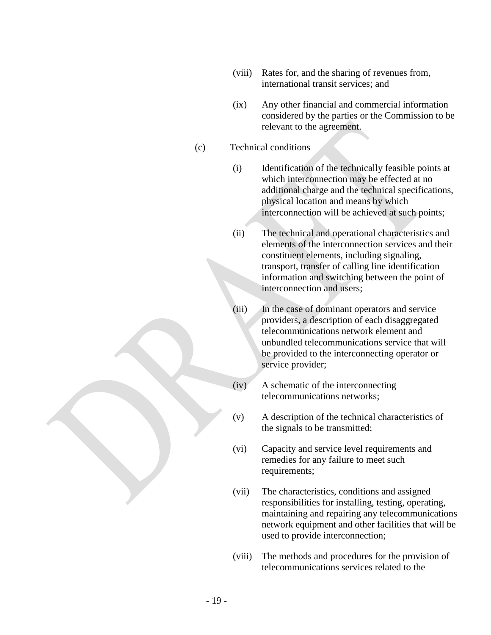- (viii) Rates for, and the sharing of revenues from, international transit services; and
- (ix) Any other financial and commercial information considered by the parties or the Commission to be relevant to the agreement.

#### (c) Technical conditions

- (i) Identification of the technically feasible points at which interconnection may be effected at no additional charge and the technical specifications, physical location and means by which interconnection will be achieved at such points;
- (ii) The technical and operational characteristics and elements of the interconnection services and their constituent elements, including signaling, transport, transfer of calling line identification information and switching between the point of interconnection and users;
- (iii) In the case of dominant operators and service providers, a description of each disaggregated telecommunications network element and unbundled telecommunications service that will be provided to the interconnecting operator or service provider;
- (iv) A schematic of the interconnecting telecommunications networks;
- (v) A description of the technical characteristics of the signals to be transmitted;
- (vi) Capacity and service level requirements and remedies for any failure to meet such requirements;
- (vii) The characteristics, conditions and assigned responsibilities for installing, testing, operating, maintaining and repairing any telecommunications network equipment and other facilities that will be used to provide interconnection;
- (viii) The methods and procedures for the provision of telecommunications services related to the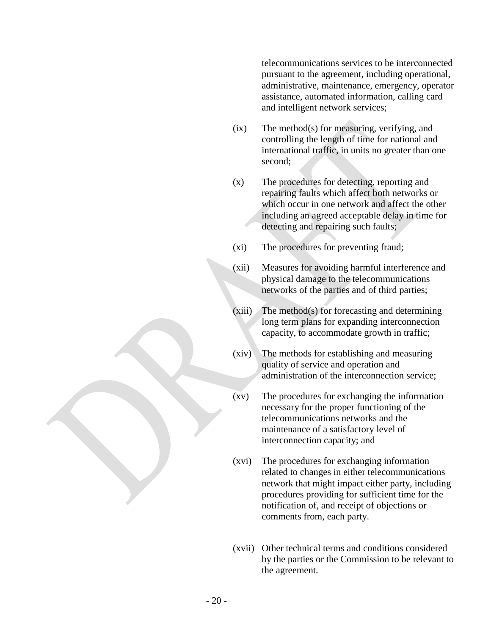telecommunications services to be interconnected pursuant to the agreement, including operational, administrative, maintenance, emergency, operator assistance, automated information, calling card and intelligent network services;

- (ix) The method(s) for measuring, verifying, and controlling the length of time for national and international traffic, in units no greater than one second;
- (x) The procedures for detecting, reporting and repairing faults which affect both networks or which occur in one network and affect the other including an agreed acceptable delay in time for detecting and repairing such faults;
- (xi) The procedures for preventing fraud;
- (xii) Measures for avoiding harmful interference and physical damage to the telecommunications networks of the parties and of third parties;
	- (xiii) The method(s) for forecasting and determining long term plans for expanding interconnection capacity, to accommodate growth in traffic;
- (xiv) The methods for establishing and measuring quality of service and operation and administration of the interconnection service;
- (xv) The procedures for exchanging the information necessary for the proper functioning of the telecommunications networks and the maintenance of a satisfactory level of interconnection capacity; and
- (xvi) The procedures for exchanging information related to changes in either telecommunications network that might impact either party, including procedures providing for sufficient time for the notification of, and receipt of objections or comments from, each party.
- (xvii) Other technical terms and conditions considered by the parties or the Commission to be relevant to the agreement.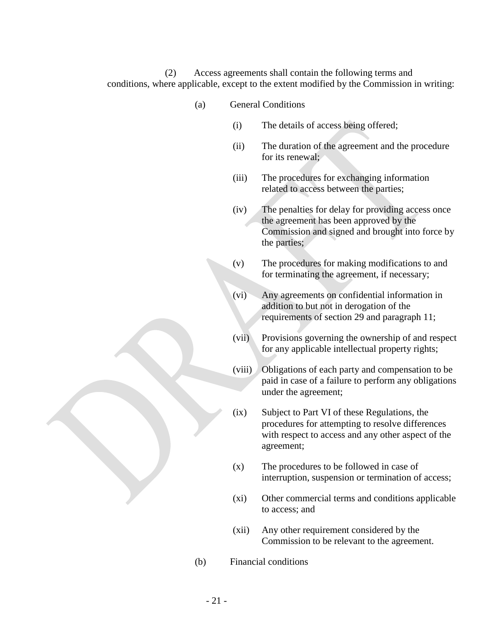(2) Access agreements shall contain the following terms and conditions, where applicable, except to the extent modified by the Commission in writing:

- (a) General Conditions
	- (i) The details of access being offered;
	- (ii) The duration of the agreement and the procedure for its renewal:
	- (iii) The procedures for exchanging information related to access between the parties;
	- (iv) The penalties for delay for providing access once the agreement has been approved by the Commission and signed and brought into force by the parties;
	- (v) The procedures for making modifications to and for terminating the agreement, if necessary;
	- (vi) Any agreements on confidential information in addition to but not in derogation of the requirements of section 29 and paragraph 11;
	- (vii) Provisions governing the ownership of and respect for any applicable intellectual property rights;
	- (viii) Obligations of each party and compensation to be paid in case of a failure to perform any obligations under the agreement;
	- (ix) Subject to Part VI of these Regulations, the procedures for attempting to resolve differences with respect to access and any other aspect of the agreement;
	- (x) The procedures to be followed in case of interruption, suspension or termination of access;
	- (xi) Other commercial terms and conditions applicable to access; and
	- (xii) Any other requirement considered by the Commission to be relevant to the agreement.
- (b) Financial conditions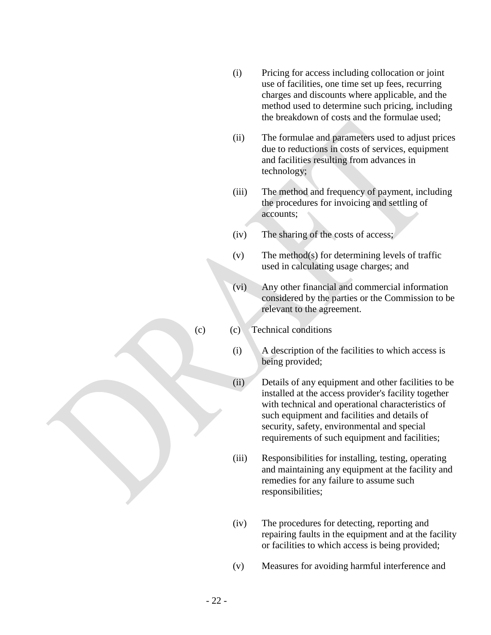- (i) Pricing for access including collocation or joint use of facilities, one time set up fees, recurring charges and discounts where applicable, and the method used to determine such pricing, including the breakdown of costs and the formulae used;
- (ii) The formulae and parameters used to adjust prices due to reductions in costs of services, equipment and facilities resulting from advances in technology;
- (iii) The method and frequency of payment, including the procedures for invoicing and settling of accounts;
- (iv) The sharing of the costs of access;
- (v) The method(s) for determining levels of traffic used in calculating usage charges; and
- (vi) Any other financial and commercial information considered by the parties or the Commission to be relevant to the agreement.
- (c) (c) Technical conditions
	- (i) A description of the facilities to which access is being provided;
	- (ii) Details of any equipment and other facilities to be installed at the access provider's facility together with technical and operational characteristics of such equipment and facilities and details of security, safety, environmental and special requirements of such equipment and facilities;
	- (iii) Responsibilities for installing, testing, operating and maintaining any equipment at the facility and remedies for any failure to assume such responsibilities;
	- (iv) The procedures for detecting, reporting and repairing faults in the equipment and at the facility or facilities to which access is being provided;
	- (v) Measures for avoiding harmful interference and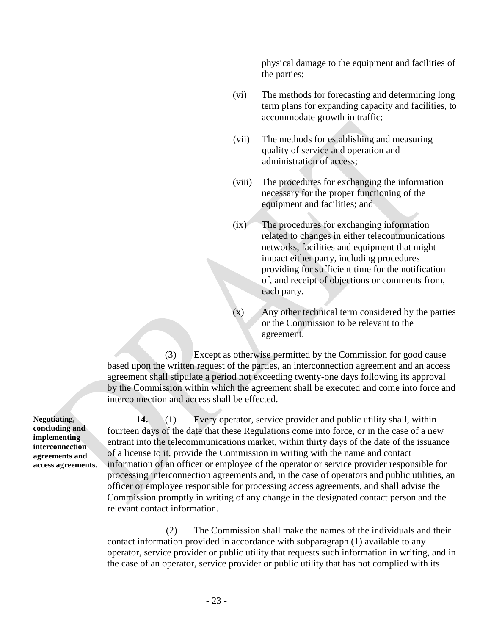physical damage to the equipment and facilities of the parties;

- (vi) The methods for forecasting and determining long term plans for expanding capacity and facilities, to accommodate growth in traffic;
- (vii) The methods for establishing and measuring quality of service and operation and administration of access;
- (viii) The procedures for exchanging the information necessary for the proper functioning of the equipment and facilities; and
- (ix) The procedures for exchanging information related to changes in either telecommunications networks, facilities and equipment that might impact either party, including procedures providing for sufficient time for the notification of, and receipt of objections or comments from, each party.
- Any other technical term considered by the parties or the Commission to be relevant to the agreement.

(3) Except as otherwise permitted by the Commission for good cause based upon the written request of the parties, an interconnection agreement and an access agreement shall stipulate a period not exceeding twenty-one days following its approval by the Commission within which the agreement shall be executed and come into force and interconnection and access shall be effected.

**14.** (1) Every operator, service provider and public utility shall, within fourteen days of the date that these Regulations come into force, or in the case of a new entrant into the telecommunications market, within thirty days of the date of the issuance of a license to it, provide the Commission in writing with the name and contact information of an officer or employee of the operator or service provider responsible for processing interconnection agreements and, in the case of operators and public utilities, an officer or employee responsible for processing access agreements, and shall advise the Commission promptly in writing of any change in the designated contact person and the relevant contact information.

(2) The Commission shall make the names of the individuals and their contact information provided in accordance with subparagraph (1) available to any operator, service provider or public utility that requests such information in writing, and in the case of an operator, service provider or public utility that has not complied with its

**Negotiating, concluding and implementing interconnection agreements and access agreements.**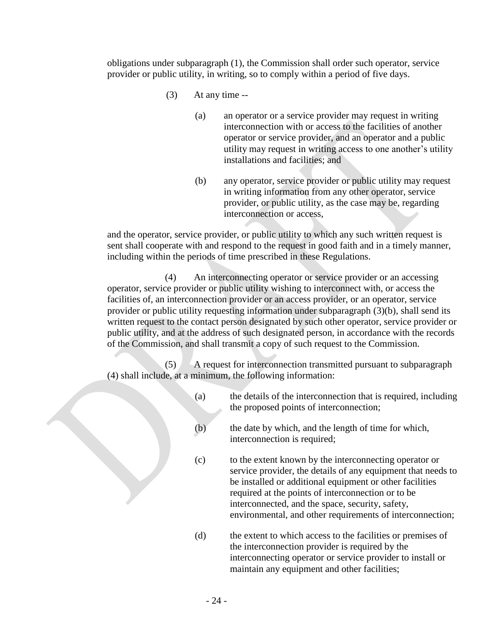obligations under subparagraph (1), the Commission shall order such operator, service provider or public utility, in writing, so to comply within a period of five days.

- $(3)$  At any time --
	- (a) an operator or a service provider may request in writing interconnection with or access to the facilities of another operator or service provider, and an operator and a public utility may request in writing access to one another's utility installations and facilities; and
	- (b) any operator, service provider or public utility may request in writing information from any other operator, service provider, or public utility, as the case may be, regarding interconnection or access,

and the operator, service provider, or public utility to which any such written request is sent shall cooperate with and respond to the request in good faith and in a timely manner, including within the periods of time prescribed in these Regulations.

(4) An interconnecting operator or service provider or an accessing operator, service provider or public utility wishing to interconnect with, or access the facilities of, an interconnection provider or an access provider, or an operator, service provider or public utility requesting information under subparagraph (3)(b), shall send its written request to the contact person designated by such other operator, service provider or public utility, and at the address of such designated person, in accordance with the records of the Commission, and shall transmit a copy of such request to the Commission.

(5) A request for interconnection transmitted pursuant to subparagraph (4) shall include, at a minimum, the following information:

- (a) the details of the interconnection that is required, including the proposed points of interconnection;
- (b) the date by which, and the length of time for which, interconnection is required;
- (c) to the extent known by the interconnecting operator or service provider, the details of any equipment that needs to be installed or additional equipment or other facilities required at the points of interconnection or to be interconnected, and the space, security, safety, environmental, and other requirements of interconnection;
- (d) the extent to which access to the facilities or premises of the interconnection provider is required by the interconnecting operator or service provider to install or maintain any equipment and other facilities;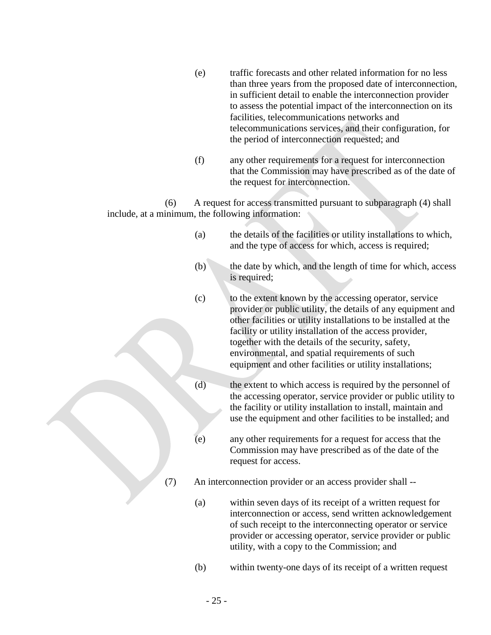- (e) traffic forecasts and other related information for no less than three years from the proposed date of interconnection, in sufficient detail to enable the interconnection provider to assess the potential impact of the interconnection on its facilities, telecommunications networks and telecommunications services, and their configuration, for the period of interconnection requested; and
- (f) any other requirements for a request for interconnection that the Commission may have prescribed as of the date of the request for interconnection.

(6) A request for access transmitted pursuant to subparagraph (4) shall include, at a minimum, the following information:

- (a) the details of the facilities or utility installations to which, and the type of access for which, access is required;
- (b) the date by which, and the length of time for which, access is required;
- (c) to the extent known by the accessing operator, service provider or public utility, the details of any equipment and other facilities or utility installations to be installed at the facility or utility installation of the access provider, together with the details of the security, safety, environmental, and spatial requirements of such equipment and other facilities or utility installations;
- (d) the extent to which access is required by the personnel of the accessing operator, service provider or public utility to the facility or utility installation to install, maintain and use the equipment and other facilities to be installed; and
- (e) any other requirements for a request for access that the Commission may have prescribed as of the date of the request for access.
- (7) An interconnection provider or an access provider shall --
	- (a) within seven days of its receipt of a written request for interconnection or access, send written acknowledgement of such receipt to the interconnecting operator or service provider or accessing operator, service provider or public utility, with a copy to the Commission; and
	- (b) within twenty-one days of its receipt of a written request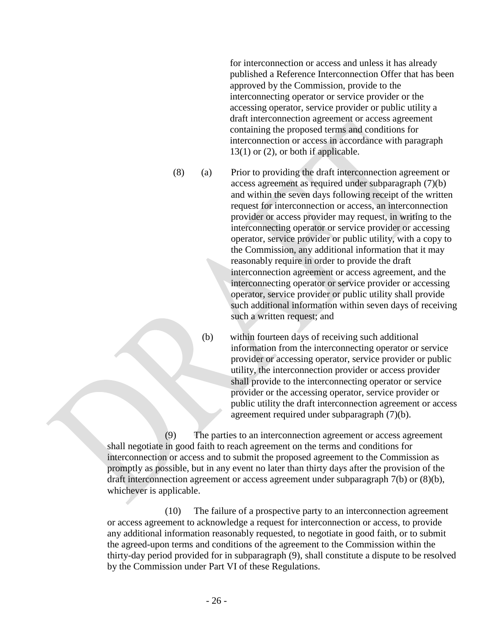for interconnection or access and unless it has already published a Reference Interconnection Offer that has been approved by the Commission, provide to the interconnecting operator or service provider or the accessing operator, service provider or public utility a draft interconnection agreement or access agreement containing the proposed terms and conditions for interconnection or access in accordance with paragraph  $13(1)$  or  $(2)$ , or both if applicable.

(8) (a) Prior to providing the draft interconnection agreement or access agreement as required under subparagraph (7)(b) and within the seven days following receipt of the written request for interconnection or access, an interconnection provider or access provider may request, in writing to the interconnecting operator or service provider or accessing operator, service provider or public utility, with a copy to the Commission, any additional information that it may reasonably require in order to provide the draft interconnection agreement or access agreement, and the interconnecting operator or service provider or accessing operator, service provider or public utility shall provide such additional information within seven days of receiving such a written request; and

> (b) within fourteen days of receiving such additional information from the interconnecting operator or service provider or accessing operator, service provider or public utility, the interconnection provider or access provider shall provide to the interconnecting operator or service provider or the accessing operator, service provider or public utility the draft interconnection agreement or access agreement required under subparagraph (7)(b).

(9) The parties to an interconnection agreement or access agreement shall negotiate in good faith to reach agreement on the terms and conditions for interconnection or access and to submit the proposed agreement to the Commission as promptly as possible, but in any event no later than thirty days after the provision of the draft interconnection agreement or access agreement under subparagraph 7(b) or (8)(b), whichever is applicable.

(10) The failure of a prospective party to an interconnection agreement or access agreement to acknowledge a request for interconnection or access, to provide any additional information reasonably requested, to negotiate in good faith, or to submit the agreed-upon terms and conditions of the agreement to the Commission within the thirty-day period provided for in subparagraph (9), shall constitute a dispute to be resolved by the Commission under Part VI of these Regulations.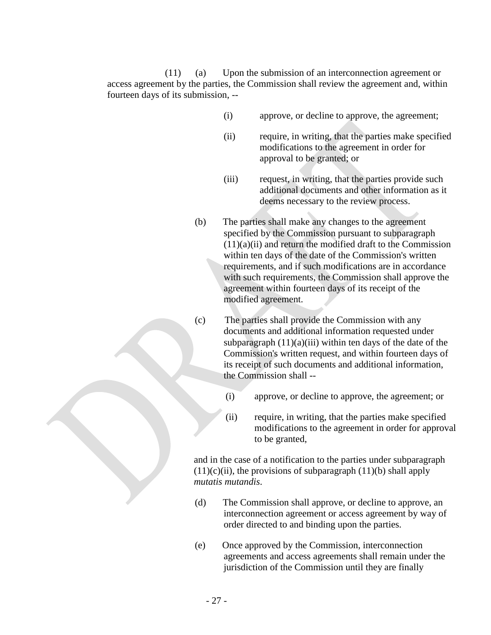(11) (a) Upon the submission of an interconnection agreement or access agreement by the parties, the Commission shall review the agreement and, within fourteen days of its submission, --

- (i) approve, or decline to approve, the agreement;
- (ii) require, in writing, that the parties make specified modifications to the agreement in order for approval to be granted; or
- (iii) request, in writing, that the parties provide such additional documents and other information as it deems necessary to the review process.
- (b) The parties shall make any changes to the agreement specified by the Commission pursuant to subparagraph  $(11)(a)(ii)$  and return the modified draft to the Commission within ten days of the date of the Commission's written requirements, and if such modifications are in accordance with such requirements, the Commission shall approve the agreement within fourteen days of its receipt of the modified agreement.
- (c) The parties shall provide the Commission with any documents and additional information requested under subparagraph  $(11)(a)(iii)$  within ten days of the date of the Commission's written request, and within fourteen days of its receipt of such documents and additional information, the Commission shall --
	- (i) approve, or decline to approve, the agreement; or
	- (ii) require, in writing, that the parties make specified modifications to the agreement in order for approval to be granted,

and in the case of a notification to the parties under subparagraph  $(11)(c)(ii)$ , the provisions of subparagraph  $(11)(b)$  shall apply *mutatis mutandis*.

- (d) The Commission shall approve, or decline to approve, an interconnection agreement or access agreement by way of order directed to and binding upon the parties.
- (e) Once approved by the Commission, interconnection agreements and access agreements shall remain under the jurisdiction of the Commission until they are finally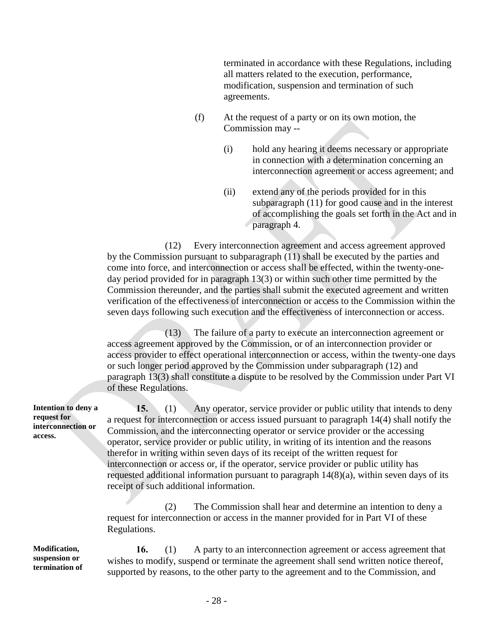terminated in accordance with these Regulations, including all matters related to the execution, performance, modification, suspension and termination of such agreements.

- (f) At the request of a party or on its own motion, the Commission may --
	- (i) hold any hearing it deems necessary or appropriate in connection with a determination concerning an interconnection agreement or access agreement; and
	- (ii) extend any of the periods provided for in this subparagraph (11) for good cause and in the interest of accomplishing the goals set forth in the Act and in paragraph 4.

(12) Every interconnection agreement and access agreement approved by the Commission pursuant to subparagraph (11) shall be executed by the parties and come into force, and interconnection or access shall be effected, within the twenty-oneday period provided for in paragraph 13(3) or within such other time permitted by the Commission thereunder, and the parties shall submit the executed agreement and written verification of the effectiveness of interconnection or access to the Commission within the seven days following such execution and the effectiveness of interconnection or access.

(13) The failure of a party to execute an interconnection agreement or access agreement approved by the Commission, or of an interconnection provider or access provider to effect operational interconnection or access, within the twenty-one days or such longer period approved by the Commission under subparagraph (12) and paragraph 13(3) shall constitute a dispute to be resolved by the Commission under Part VI of these Regulations.

**Intention to deny a interconnection or 15.** (1) Any operator, service provider or public utility that intends to deny a request for interconnection or access issued pursuant to paragraph 14(4) shall notify the Commission, and the interconnecting operator or service provider or the accessing operator, service provider or public utility, in writing of its intention and the reasons therefor in writing within seven days of its receipt of the written request for interconnection or access or, if the operator, service provider or public utility has requested additional information pursuant to paragraph 14(8)(a), within seven days of its receipt of such additional information.

> (2) The Commission shall hear and determine an intention to deny a request for interconnection or access in the manner provided for in Part VI of these Regulations.

**Modification, suspension or termination of** 

**16.** (1) A party to an interconnection agreement or access agreement that wishes to modify, suspend or terminate the agreement shall send written notice thereof, supported by reasons, to the other party to the agreement and to the Commission, and

**request for** 

**access.**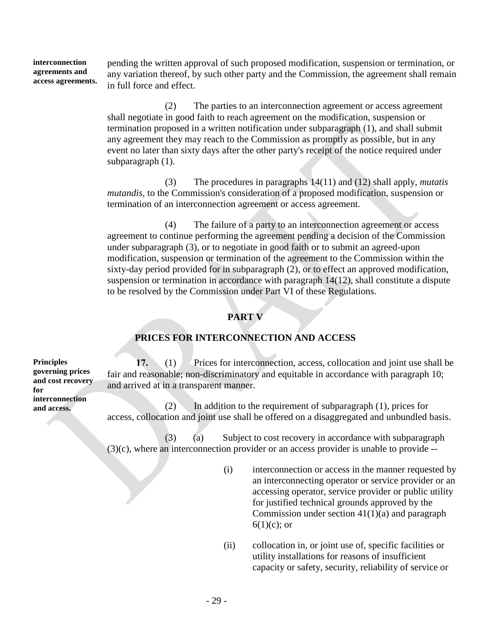**interconnection agreements and access agreements.** pending the written approval of such proposed modification, suspension or termination, or any variation thereof, by such other party and the Commission, the agreement shall remain in full force and effect.

> (2) The parties to an interconnection agreement or access agreement shall negotiate in good faith to reach agreement on the modification, suspension or termination proposed in a written notification under subparagraph (1), and shall submit any agreement they may reach to the Commission as promptly as possible, but in any event no later than sixty days after the other party's receipt of the notice required under subparagraph (1).

(3) The procedures in paragraphs 14(11) and (12) shall apply, *mutatis mutandis*, to the Commission's consideration of a proposed modification, suspension or termination of an interconnection agreement or access agreement.

(4) The failure of a party to an interconnection agreement or access agreement to continue performing the agreement pending a decision of the Commission under subparagraph (3), or to negotiate in good faith or to submit an agreed-upon modification, suspension or termination of the agreement to the Commission within the sixty-day period provided for in subparagraph (2), or to effect an approved modification, suspension or termination in accordance with paragraph 14(12), shall constitute a dispute to be resolved by the Commission under Part VI of these Regulations.

## **PART V**

## **PRICES FOR INTERCONNECTION AND ACCESS**

**17.** (1) Prices for interconnection, access, collocation and joint use shall be fair and reasonable; non-discriminatory and equitable in accordance with paragraph 10; and arrived at in a transparent manner.

(2) In addition to the requirement of subparagraph (1), prices for access, collocation and joint use shall be offered on a disaggregated and unbundled basis.

(3) (a) Subject to cost recovery in accordance with subparagraph (3)(c), where an interconnection provider or an access provider is unable to provide --

- (i) interconnection or access in the manner requested by an interconnecting operator or service provider or an accessing operator, service provider or public utility for justified technical grounds approved by the Commission under section  $41(1)(a)$  and paragraph  $6(1)(c)$ ; or
- (ii) collocation in, or joint use of, specific facilities or utility installations for reasons of insufficient capacity or safety, security, reliability of service or

**Principles governing prices and cost recovery for interconnection and access.**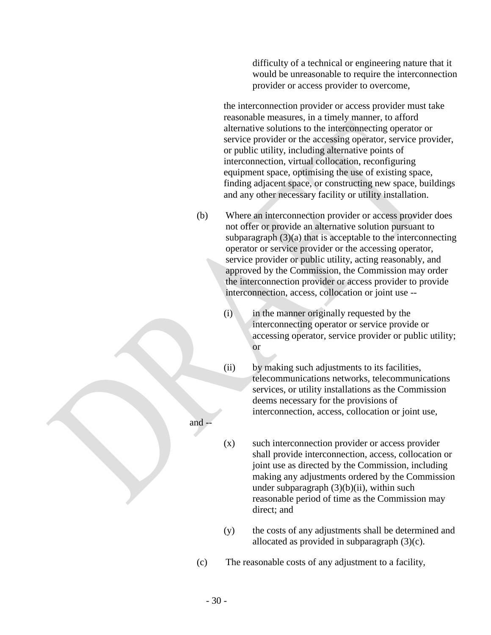difficulty of a technical or engineering nature that it would be unreasonable to require the interconnection provider or access provider to overcome,

the interconnection provider or access provider must take reasonable measures, in a timely manner, to afford alternative solutions to the interconnecting operator or service provider or the accessing operator, service provider, or public utility, including alternative points of interconnection, virtual collocation, reconfiguring equipment space, optimising the use of existing space, finding adjacent space, or constructing new space, buildings and any other necessary facility or utility installation.

- (b) Where an interconnection provider or access provider does not offer or provide an alternative solution pursuant to subparagraph  $(3)(a)$  that is acceptable to the interconnecting operator or service provider or the accessing operator, service provider or public utility, acting reasonably, and approved by the Commission, the Commission may order the interconnection provider or access provider to provide interconnection, access, collocation or joint use --
	- (i) in the manner originally requested by the interconnecting operator or service provide or accessing operator, service provider or public utility; or
	- (ii) by making such adjustments to its facilities, telecommunications networks, telecommunications services, or utility installations as the Commission deems necessary for the provisions of interconnection, access, collocation or joint use,
	- (x) such interconnection provider or access provider shall provide interconnection, access, collocation or joint use as directed by the Commission, including making any adjustments ordered by the Commission under subparagraph  $(3)(b)(ii)$ , within such reasonable period of time as the Commission may direct; and
	- (y) the costs of any adjustments shall be determined and allocated as provided in subparagraph (3)(c).
- (c) The reasonable costs of any adjustment to a facility,

and --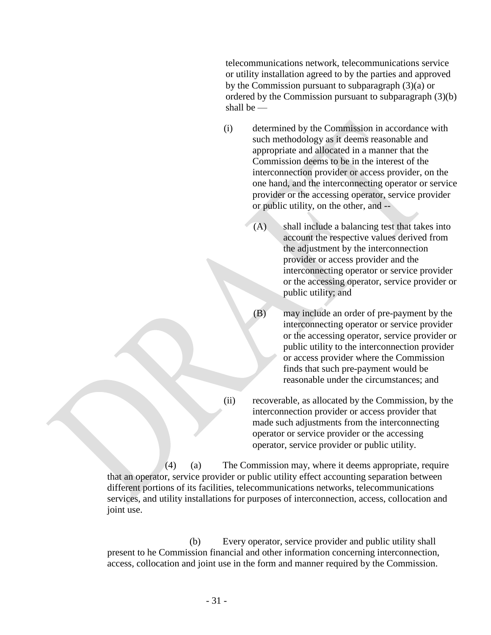telecommunications network, telecommunications service or utility installation agreed to by the parties and approved by the Commission pursuant to subparagraph (3)(a) or ordered by the Commission pursuant to subparagraph (3)(b) shall be —

- (i) determined by the Commission in accordance with such methodology as it deems reasonable and appropriate and allocated in a manner that the Commission deems to be in the interest of the interconnection provider or access provider, on the one hand, and the interconnecting operator or service provider or the accessing operator, service provider or public utility, on the other, and --
	- (A) shall include a balancing test that takes into account the respective values derived from the adjustment by the interconnection provider or access provider and the interconnecting operator or service provider or the accessing operator, service provider or public utility; and
	- (B) may include an order of pre-payment by the interconnecting operator or service provider or the accessing operator, service provider or public utility to the interconnection provider or access provider where the Commission finds that such pre-payment would be reasonable under the circumstances; and
- (ii) recoverable, as allocated by the Commission, by the interconnection provider or access provider that made such adjustments from the interconnecting operator or service provider or the accessing operator, service provider or public utility.

(4) (a) The Commission may, where it deems appropriate, require that an operator, service provider or public utility effect accounting separation between different portions of its facilities, telecommunications networks, telecommunications services, and utility installations for purposes of interconnection, access, collocation and joint use.

(b) Every operator, service provider and public utility shall present to he Commission financial and other information concerning interconnection, access, collocation and joint use in the form and manner required by the Commission.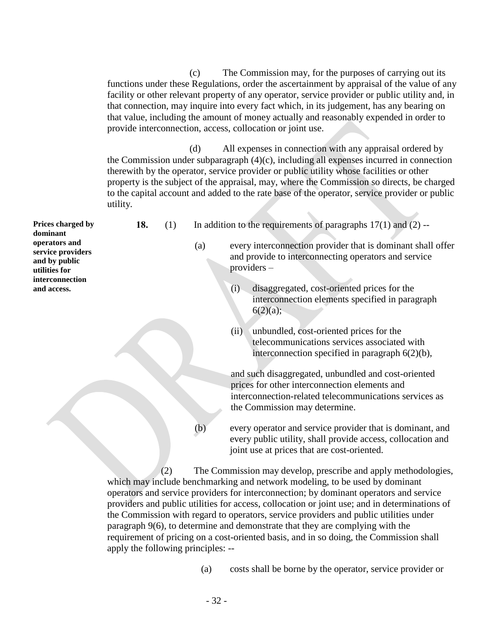(c) The Commission may, for the purposes of carrying out its functions under these Regulations, order the ascertainment by appraisal of the value of any facility or other relevant property of any operator, service provider or public utility and, in that connection, may inquire into every fact which, in its judgement, has any bearing on that value, including the amount of money actually and reasonably expended in order to provide interconnection, access, collocation or joint use.

(d) All expenses in connection with any appraisal ordered by the Commission under subparagraph (4)(c), including all expenses incurred in connection therewith by the operator, service provider or public utility whose facilities or other property is the subject of the appraisal, may, where the Commission so directs, be charged to the capital account and added to the rate base of the operator, service provider or public utility.

**Prices charged by dominant operators and service providers and by public utilities for interconnection and access. 18.** (1) In addition to the requirements of paragraphs 17(1) and (2) -- (a) every interconnection provider that is dominant shall offer and provide to interconnecting operators and service providers – (i) disaggregated, cost-oriented prices for the interconnection elements specified in paragraph  $6(2)(a);$ (ii) unbundled, cost-oriented prices for the

telecommunications services associated with interconnection specified in paragraph 6(2)(b),

and such disaggregated, unbundled and cost-oriented prices for other interconnection elements and interconnection-related telecommunications services as the Commission may determine.

(b) every operator and service provider that is dominant, and every public utility, shall provide access, collocation and joint use at prices that are cost-oriented.

(2) The Commission may develop, prescribe and apply methodologies, which may include benchmarking and network modeling, to be used by dominant operators and service providers for interconnection; by dominant operators and service providers and public utilities for access, collocation or joint use; and in determinations of the Commission with regard to operators, service providers and public utilities under paragraph 9(6), to determine and demonstrate that they are complying with the requirement of pricing on a cost-oriented basis, and in so doing, the Commission shall apply the following principles: --

(a) costs shall be borne by the operator, service provider or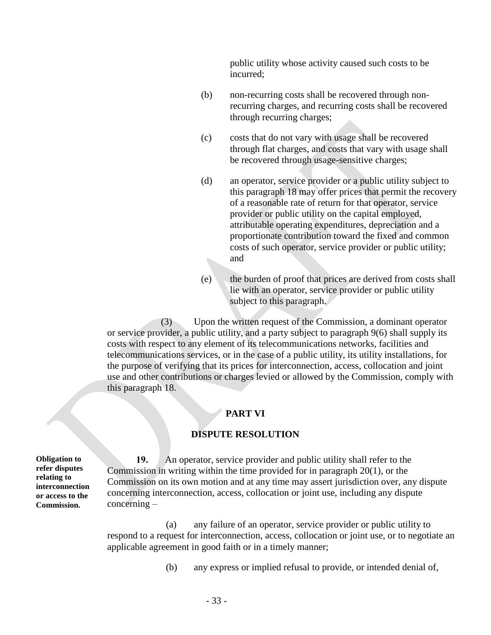public utility whose activity caused such costs to be incurred;

- (b) non-recurring costs shall be recovered through nonrecurring charges, and recurring costs shall be recovered through recurring charges;
- (c) costs that do not vary with usage shall be recovered through flat charges, and costs that vary with usage shall be recovered through usage-sensitive charges;
- (d) an operator, service provider or a public utility subject to this paragraph 18 may offer prices that permit the recovery of a reasonable rate of return for that operator, service provider or public utility on the capital employed, attributable operating expenditures, depreciation and a proportionate contribution toward the fixed and common costs of such operator, service provider or public utility; and
- (e) the burden of proof that prices are derived from costs shall lie with an operator, service provider or public utility subject to this paragraph.

(3) Upon the written request of the Commission, a dominant operator or service provider, a public utility, and a party subject to paragraph 9(6) shall supply its costs with respect to any element of its telecommunications networks, facilities and telecommunications services, or in the case of a public utility, its utility installations, for the purpose of verifying that its prices for interconnection, access, collocation and joint use and other contributions or charges levied or allowed by the Commission, comply with this paragraph 18.

#### **PART VI**

#### **DISPUTE RESOLUTION**

**Obligation to refer disputes relating to interconnection or access to the Commission.**

**19.** An operator, service provider and public utility shall refer to the Commission in writing within the time provided for in paragraph 20(1), or the Commission on its own motion and at any time may assert jurisdiction over, any dispute concerning interconnection, access, collocation or joint use, including any dispute concerning –

(a) any failure of an operator, service provider or public utility to respond to a request for interconnection, access, collocation or joint use, or to negotiate an applicable agreement in good faith or in a timely manner;

(b) any express or implied refusal to provide, or intended denial of,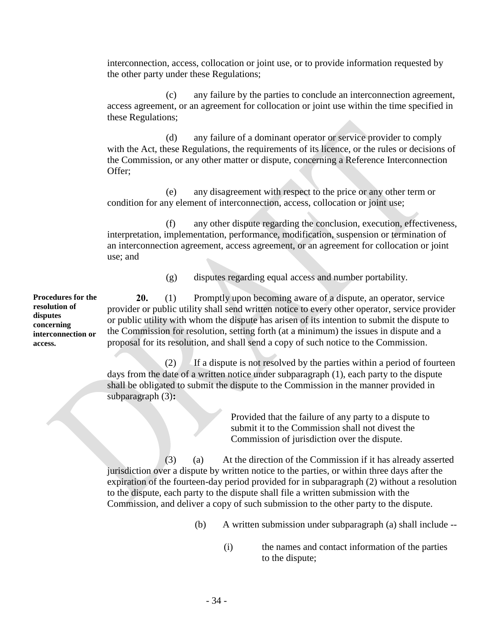interconnection, access, collocation or joint use, or to provide information requested by the other party under these Regulations;

(c) any failure by the parties to conclude an interconnection agreement, access agreement, or an agreement for collocation or joint use within the time specified in these Regulations;

(d) any failure of a dominant operator or service provider to comply with the Act, these Regulations, the requirements of its licence, or the rules or decisions of the Commission, or any other matter or dispute, concerning a Reference Interconnection Offer;

(e) any disagreement with respect to the price or any other term or condition for any element of interconnection, access, collocation or joint use;

(f) any other dispute regarding the conclusion, execution, effectiveness, interpretation, implementation, performance, modification, suspension or termination of an interconnection agreement, access agreement, or an agreement for collocation or joint use; and

(g) disputes regarding equal access and number portability.

**Procedures for the 20.** (1) Promptly upon becoming aware of a dispute, an operator, service provider or public utility shall send written notice to every other operator, service provider or public utility with whom the dispute has arisen of its intention to submit the dispute to the Commission for resolution, setting forth (at a minimum) the issues in dispute and a proposal for its resolution, and shall send a copy of such notice to the Commission.

> (2) If a dispute is not resolved by the parties within a period of fourteen days from the date of a written notice under subparagraph (1), each party to the dispute shall be obligated to submit the dispute to the Commission in the manner provided in subparagraph (3)**:**

> > Provided that the failure of any party to a dispute to submit it to the Commission shall not divest the Commission of jurisdiction over the dispute.

(3) (a) At the direction of the Commission if it has already asserted jurisdiction over a dispute by written notice to the parties, or within three days after the expiration of the fourteen-day period provided for in subparagraph (2) without a resolution to the dispute, each party to the dispute shall file a written submission with the Commission, and deliver a copy of such submission to the other party to the dispute.

- (b) A written submission under subparagraph (a) shall include --
	- (i) the names and contact information of the parties to the dispute;

**resolution of disputes concerning interconnection or access.**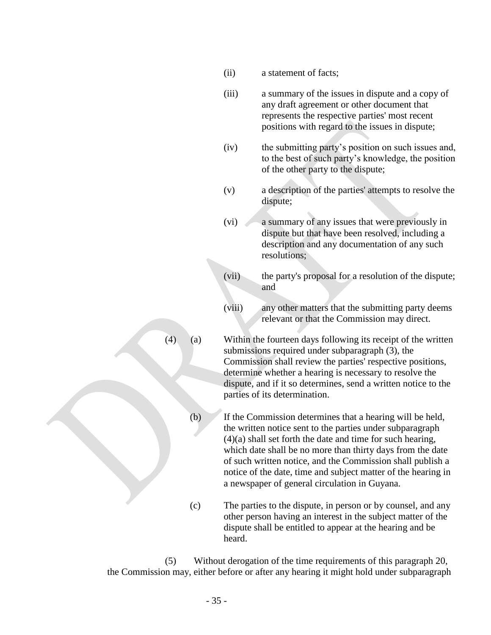- (ii) a statement of facts;
- (iii) a summary of the issues in dispute and a copy of any draft agreement or other document that represents the respective parties' most recent positions with regard to the issues in dispute;
- (iv) the submitting party's position on such issues and, to the best of such party's knowledge, the position of the other party to the dispute;
- (v) a description of the parties' attempts to resolve the dispute;
- (vi) a summary of any issues that were previously in dispute but that have been resolved, including a description and any documentation of any such resolutions;
- (vii) the party's proposal for a resolution of the dispute; and
- (viii) any other matters that the submitting party deems relevant or that the Commission may direct.
- (4) (a) Within the fourteen days following its receipt of the written submissions required under subparagraph (3), the Commission shall review the parties' respective positions, determine whether a hearing is necessary to resolve the dispute, and if it so determines, send a written notice to the parties of its determination.
	- (b) If the Commission determines that a hearing will be held, the written notice sent to the parties under subparagraph (4)(a) shall set forth the date and time for such hearing, which date shall be no more than thirty days from the date of such written notice, and the Commission shall publish a notice of the date, time and subject matter of the hearing in a newspaper of general circulation in Guyana.
	- (c) The parties to the dispute, in person or by counsel, and any other person having an interest in the subject matter of the dispute shall be entitled to appear at the hearing and be heard.

(5) Without derogation of the time requirements of this paragraph 20, the Commission may, either before or after any hearing it might hold under subparagraph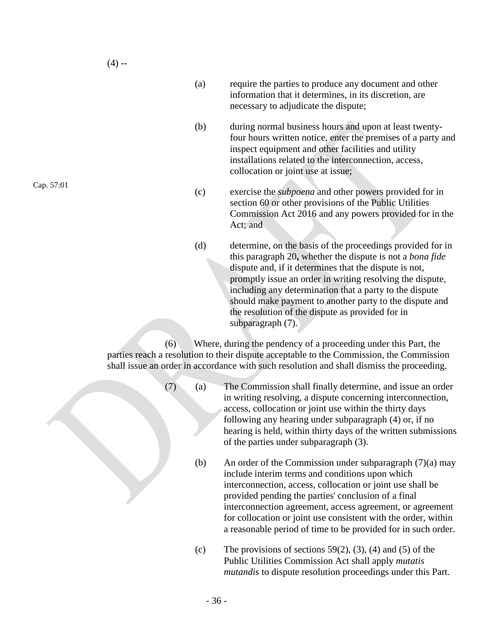- (a) require the parties to produce any document and other information that it determines, in its discretion, are necessary to adjudicate the dispute;
- (b) during normal business hours and upon at least twentyfour hours written notice, enter the premises of a party and inspect equipment and other facilities and utility installations related to the interconnection, access, collocation or joint use at issue;
- (c) exercise the *subpoena* and other powers provided for in section 60 or other provisions of the Public Utilities Commission Act 2016 and any powers provided for in the Act; and
- (d) determine, on the basis of the proceedings provided for in this paragraph 20**,** whether the dispute is not a *bona fide*  dispute and, if it determines that the dispute is not, promptly issue an order in writing resolving the dispute, including any determination that a party to the dispute should make payment to another party to the dispute and the resolution of the dispute as provided for in subparagraph (7).

(6) Where, during the pendency of a proceeding under this Part, the parties reach a resolution to their dispute acceptable to the Commission, the Commission shall issue an order in accordance with such resolution and shall dismiss the proceeding.

- (7) (a) The Commission shall finally determine, and issue an order in writing resolving, a dispute concerning interconnection, access, collocation or joint use within the thirty days following any hearing under subparagraph (4) or, if no hearing is held, within thirty days of the written submissions of the parties under subparagraph (3).
	- (b) An order of the Commission under subparagraph (7)(a) may include interim terms and conditions upon which interconnection, access, collocation or joint use shall be provided pending the parties' conclusion of a final interconnection agreement, access agreement, or agreement for collocation or joint use consistent with the order, within a reasonable period of time to be provided for in such order.
	- (c) The provisions of sections  $59(2)$ ,  $(3)$ ,  $(4)$  and  $(5)$  of the Public Utilities Commission Act shall apply *mutatis mutandis* to dispute resolution proceedings under this Part.

Cap. 57:01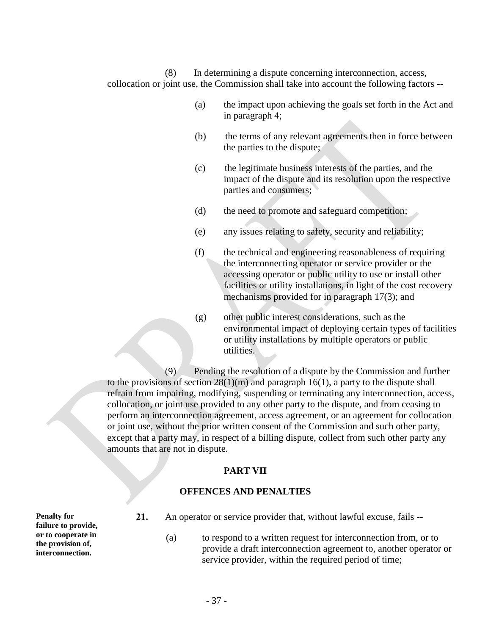(8) In determining a dispute concerning interconnection, access, collocation or joint use, the Commission shall take into account the following factors --

- (a) the impact upon achieving the goals set forth in the Act and in paragraph 4;
- (b) the terms of any relevant agreements then in force between the parties to the dispute;
- (c) the legitimate business interests of the parties, and the impact of the dispute and its resolution upon the respective parties and consumers;
- (d) the need to promote and safeguard competition;
- (e) any issues relating to safety, security and reliability;
- (f) the technical and engineering reasonableness of requiring the interconnecting operator or service provider or the accessing operator or public utility to use or install other facilities or utility installations, in light of the cost recovery mechanisms provided for in paragraph 17(3); and
- (g) other public interest considerations, such as the environmental impact of deploying certain types of facilities or utility installations by multiple operators or public utilities.

(9) Pending the resolution of a dispute by the Commission and further to the provisions of section  $28(1)(m)$  and paragraph 16(1), a party to the dispute shall refrain from impairing, modifying, suspending or terminating any interconnection, access, collocation, or joint use provided to any other party to the dispute, and from ceasing to perform an interconnection agreement, access agreement, or an agreement for collocation or joint use, without the prior written consent of the Commission and such other party, except that a party may, in respect of a billing dispute, collect from such other party any amounts that are not in dispute.

#### **PART VII**

#### **OFFENCES AND PENALTIES**

**Penalty for failure to provide, or to cooperate in the provision of, interconnection.**

- **21.** An operator or service provider that, without lawful excuse, fails --
	- (a) to respond to a written request for interconnection from, or to provide a draft interconnection agreement to, another operator or service provider, within the required period of time;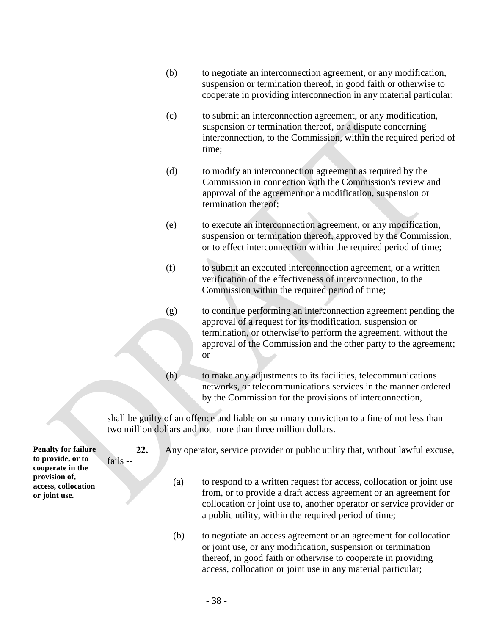- (b) to negotiate an interconnection agreement, or any modification, suspension or termination thereof, in good faith or otherwise to cooperate in providing interconnection in any material particular;
- (c) to submit an interconnection agreement, or any modification, suspension or termination thereof, or a dispute concerning interconnection, to the Commission, within the required period of time;
- (d) to modify an interconnection agreement as required by the Commission in connection with the Commission's review and approval of the agreement or a modification, suspension or termination thereof;
- (e) to execute an interconnection agreement, or any modification, suspension or termination thereof, approved by the Commission, or to effect interconnection within the required period of time;
- (f) to submit an executed interconnection agreement, or a written verification of the effectiveness of interconnection, to the Commission within the required period of time;
- (g) to continue performing an interconnection agreement pending the approval of a request for its modification, suspension or termination, or otherwise to perform the agreement, without the approval of the Commission and the other party to the agreement; or
- (h) to make any adjustments to its facilities, telecommunications networks, or telecommunications services in the manner ordered by the Commission for the provisions of interconnection,

shall be guilty of an offence and liable on summary conviction to a fine of not less than two million dollars and not more than three million dollars.

**Penalty for failure to provide, or to cooperate in the provision of, access, collocation or joint use.**

fails --

- **22.** Any operator, service provider or public utility that, without lawful excuse,
	- (a) to respond to a written request for access, collocation or joint use from, or to provide a draft access agreement or an agreement for collocation or joint use to, another operator or service provider or a public utility, within the required period of time;
	- (b) to negotiate an access agreement or an agreement for collocation or joint use, or any modification, suspension or termination thereof, in good faith or otherwise to cooperate in providing access, collocation or joint use in any material particular;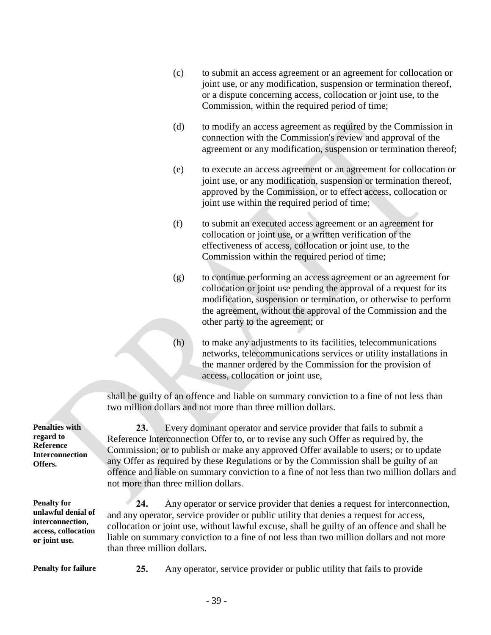- (c) to submit an access agreement or an agreement for collocation or joint use, or any modification, suspension or termination thereof, or a dispute concerning access, collocation or joint use, to the Commission, within the required period of time;
- (d) to modify an access agreement as required by the Commission in connection with the Commission's review and approval of the agreement or any modification, suspension or termination thereof;
- (e) to execute an access agreement or an agreement for collocation or joint use, or any modification, suspension or termination thereof, approved by the Commission, or to effect access, collocation or joint use within the required period of time;
- (f) to submit an executed access agreement or an agreement for collocation or joint use, or a written verification of the effectiveness of access, collocation or joint use, to the Commission within the required period of time;
- (g) to continue performing an access agreement or an agreement for collocation or joint use pending the approval of a request for its modification, suspension or termination, or otherwise to perform the agreement, without the approval of the Commission and the other party to the agreement; or
- (h) to make any adjustments to its facilities, telecommunications networks, telecommunications services or utility installations in the manner ordered by the Commission for the provision of access, collocation or joint use,

shall be guilty of an offence and liable on summary conviction to a fine of not less than two million dollars and not more than three million dollars.

**23.** Every dominant operator and service provider that fails to submit a Reference Interconnection Offer to, or to revise any such Offer as required by, the Commission; or to publish or make any approved Offer available to users; or to update any Offer as required by these Regulations or by the Commission shall be guilty of an offence and liable on summary conviction to a fine of not less than two million dollars and not more than three million dollars.

**24.** Any operator or service provider that denies a request for interconnection, and any operator, service provider or public utility that denies a request for access, collocation or joint use, without lawful excuse, shall be guilty of an offence and shall be liable on summary conviction to a fine of not less than two million dollars and not more than three million dollars.

**Penalty for unlawful denial of interconnection, access, collocation or joint use.**

**Penalties with** 

**Penalty for failure 25.** Any operator, service provider or public utility that fails to provide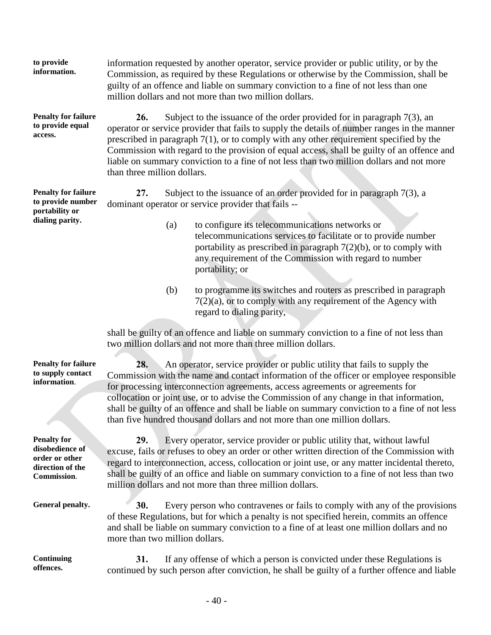| information.                                                                         | Commission, as required by these Regulations or otherwise by the Commission, shall be<br>guilty of an offence and liable on summary conviction to a fine of not less than one<br>million dollars and not more than two million dollars.                                                                                                                                                                                                                                                                                                |     |                                                                                                                                                                                                                                                                         |  |  |  |
|--------------------------------------------------------------------------------------|----------------------------------------------------------------------------------------------------------------------------------------------------------------------------------------------------------------------------------------------------------------------------------------------------------------------------------------------------------------------------------------------------------------------------------------------------------------------------------------------------------------------------------------|-----|-------------------------------------------------------------------------------------------------------------------------------------------------------------------------------------------------------------------------------------------------------------------------|--|--|--|
| <b>Penalty for failure</b><br>to provide equal<br>access.                            | 26.<br>Subject to the issuance of the order provided for in paragraph $7(3)$ , an<br>operator or service provider that fails to supply the details of number ranges in the manner<br>prescribed in paragraph $7(1)$ , or to comply with any other requirement specified by the<br>Commission with regard to the provision of equal access, shall be guilty of an offence and<br>liable on summary conviction to a fine of not less than two million dollars and not more<br>than three million dollars.                                |     |                                                                                                                                                                                                                                                                         |  |  |  |
| <b>Penalty for failure</b><br>to provide number<br>portability or<br>dialing parity. | Subject to the issuance of an order provided for in paragraph $7(3)$ , a<br>27.<br>dominant operator or service provider that fails --                                                                                                                                                                                                                                                                                                                                                                                                 |     |                                                                                                                                                                                                                                                                         |  |  |  |
|                                                                                      |                                                                                                                                                                                                                                                                                                                                                                                                                                                                                                                                        | (a) | to configure its telecommunications networks or<br>telecommunications services to facilitate or to provide number<br>portability as prescribed in paragraph $7(2)(b)$ , or to comply with<br>any requirement of the Commission with regard to number<br>portability; or |  |  |  |
|                                                                                      |                                                                                                                                                                                                                                                                                                                                                                                                                                                                                                                                        | (b) | to programme its switches and routers as prescribed in paragraph<br>$7(2)(a)$ , or to comply with any requirement of the Agency with<br>regard to dialing parity,                                                                                                       |  |  |  |
|                                                                                      |                                                                                                                                                                                                                                                                                                                                                                                                                                                                                                                                        |     | shall be guilty of an offence and liable on summary conviction to a fine of not less than<br>two million dollars and not more than three million dollars.                                                                                                               |  |  |  |
| <b>Penalty for failure</b><br>to supply contact<br>information.                      | An operator, service provider or public utility that fails to supply the<br>28.<br>Commission with the name and contact information of the officer or employee responsible<br>for processing interconnection agreements, access agreements or agreements for<br>collocation or joint use, or to advise the Commission of any change in that information,<br>shall be guilty of an offence and shall be liable on summary conviction to a fine of not less<br>than five hundred thousand dollars and not more than one million dollars. |     |                                                                                                                                                                                                                                                                         |  |  |  |
| <b>Penalty for</b><br>$\mathbf{H}$ aalka $\mathbf{H}$ aan aana $\mathbf{f}$          | 29.                                                                                                                                                                                                                                                                                                                                                                                                                                                                                                                                    |     | Every operator, service provider or public utility that, without lawful                                                                                                                                                                                                 |  |  |  |

information requested by another operator, service provider or public utility, or by the

**disobedience of order or other direction of the Commission**.

**to provide information.**

**Continuing offences.**

excuse, fails or refuses to obey an order or other written direction of the Commission with regard to interconnection, access, collocation or joint use, or any matter incidental thereto, shall be guilty of an office and liable on summary conviction to a fine of not less than two million dollars and not more than three million dollars.

General penalty. **30.** Every person who contravenes or fails to comply with any of the provisions of these Regulations, but for which a penalty is not specified herein, commits an offence and shall be liable on summary conviction to a fine of at least one million dollars and no more than two million dollars.

> **31.** If any offense of which a person is convicted under these Regulations is continued by such person after conviction, he shall be guilty of a further offence and liable